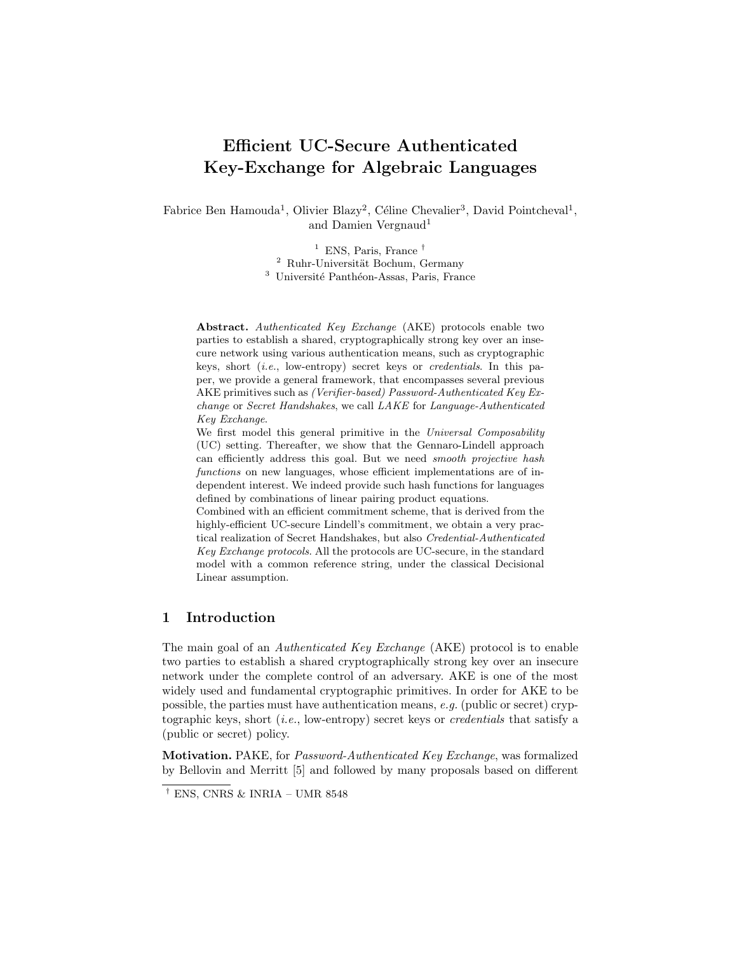# Efficient UC-Secure Authenticated Key-Exchange for Algebraic Languages

Fabrice Ben Hamouda<sup>1</sup>, Olivier Blazy<sup>2</sup>, Céline Chevalier<sup>3</sup>, David Pointcheval<sup>1</sup>, and Damien Vergnaud<sup>1</sup>

> <sup>1</sup> ENS, Paris, France  $^{\dagger}$  $2$  Ruhr-Universität Bochum, Germany <sup>3</sup> Université Panthéon-Assas, Paris, France

Abstract. Authenticated Key Exchange (AKE) protocols enable two parties to establish a shared, cryptographically strong key over an insecure network using various authentication means, such as cryptographic keys, short (i.e., low-entropy) secret keys or credentials. In this paper, we provide a general framework, that encompasses several previous AKE primitives such as (Verifier-based) Password-Authenticated Key Exchange or Secret Handshakes, we call LAKE for Language-Authenticated Key Exchange.

We first model this general primitive in the Universal Composability (UC) setting. Thereafter, we show that the Gennaro-Lindell approach can efficiently address this goal. But we need smooth projective hash functions on new languages, whose efficient implementations are of independent interest. We indeed provide such hash functions for languages defined by combinations of linear pairing product equations.

Combined with an efficient commitment scheme, that is derived from the highly-efficient UC-secure Lindell's commitment, we obtain a very practical realization of Secret Handshakes, but also Credential-Authenticated Key Exchange protocols. All the protocols are UC-secure, in the standard model with a common reference string, under the classical Decisional Linear assumption.

# 1 Introduction

The main goal of an Authenticated Key Exchange (AKE) protocol is to enable two parties to establish a shared cryptographically strong key over an insecure network under the complete control of an adversary. AKE is one of the most widely used and fundamental cryptographic primitives. In order for AKE to be possible, the parties must have authentication means, e.g. (public or secret) cryptographic keys, short  $(i.e.,$  low-entropy) secret keys or *credentials* that satisfy a (public or secret) policy.

Motivation. PAKE, for Password-Authenticated Key Exchange, was formalized by Bellovin and Merritt [5] and followed by many proposals based on different

 $^{\dagger}$  ENS, CNRS & INRIA – UMR 8548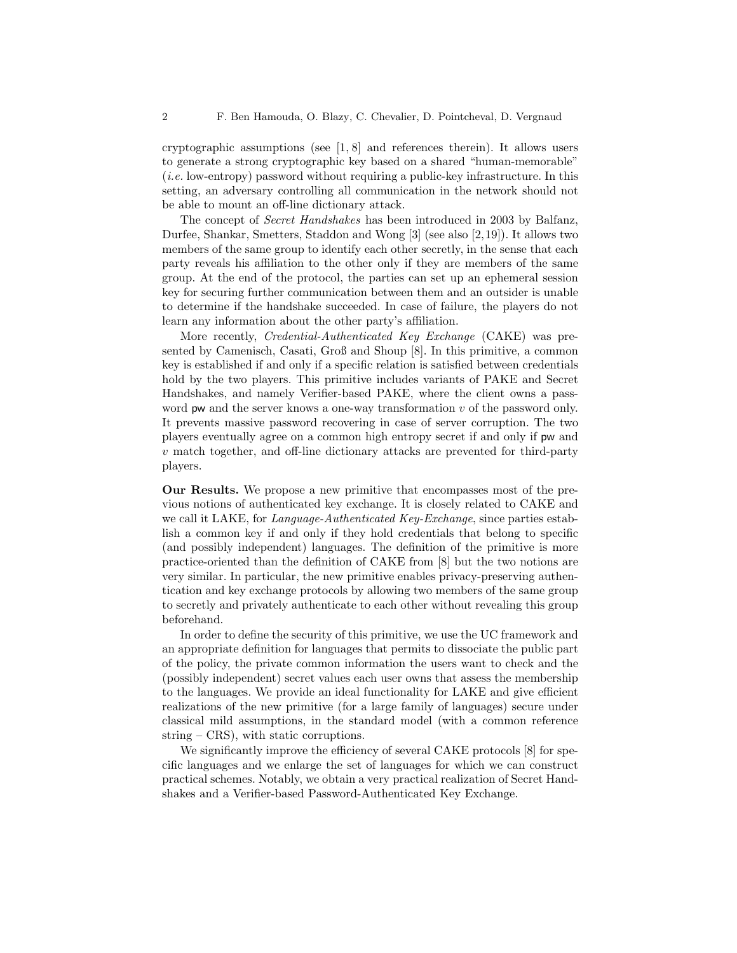cryptographic assumptions (see [1, 8] and references therein). It allows users to generate a strong cryptographic key based on a shared "human-memorable" (i.e. low-entropy) password without requiring a public-key infrastructure. In this setting, an adversary controlling all communication in the network should not be able to mount an off-line dictionary attack.

The concept of Secret Handshakes has been introduced in 2003 by Balfanz, Durfee, Shankar, Smetters, Staddon and Wong [3] (see also [2,19]). It allows two members of the same group to identify each other secretly, in the sense that each party reveals his affiliation to the other only if they are members of the same group. At the end of the protocol, the parties can set up an ephemeral session key for securing further communication between them and an outsider is unable to determine if the handshake succeeded. In case of failure, the players do not learn any information about the other party's affiliation.

More recently, Credential-Authenticated Key Exchange (CAKE) was presented by Camenisch, Casati, Groß and Shoup [8]. In this primitive, a common key is established if and only if a specific relation is satisfied between credentials hold by the two players. This primitive includes variants of PAKE and Secret Handshakes, and namely Verifier-based PAKE, where the client owns a password pw and the server knows a one-way transformation  $v$  of the password only. It prevents massive password recovering in case of server corruption. The two players eventually agree on a common high entropy secret if and only if pw and  $v$  match together, and off-line dictionary attacks are prevented for third-party players.

Our Results. We propose a new primitive that encompasses most of the previous notions of authenticated key exchange. It is closely related to CAKE and we call it LAKE, for *Language-Authenticated Key-Exchange*, since parties establish a common key if and only if they hold credentials that belong to specific (and possibly independent) languages. The definition of the primitive is more practice-oriented than the definition of CAKE from [8] but the two notions are very similar. In particular, the new primitive enables privacy-preserving authentication and key exchange protocols by allowing two members of the same group to secretly and privately authenticate to each other without revealing this group beforehand.

In order to define the security of this primitive, we use the UC framework and an appropriate definition for languages that permits to dissociate the public part of the policy, the private common information the users want to check and the (possibly independent) secret values each user owns that assess the membership to the languages. We provide an ideal functionality for LAKE and give efficient realizations of the new primitive (for a large family of languages) secure under classical mild assumptions, in the standard model (with a common reference string – CRS), with static corruptions.

We significantly improve the efficiency of several CAKE protocols [8] for specific languages and we enlarge the set of languages for which we can construct practical schemes. Notably, we obtain a very practical realization of Secret Handshakes and a Verifier-based Password-Authenticated Key Exchange.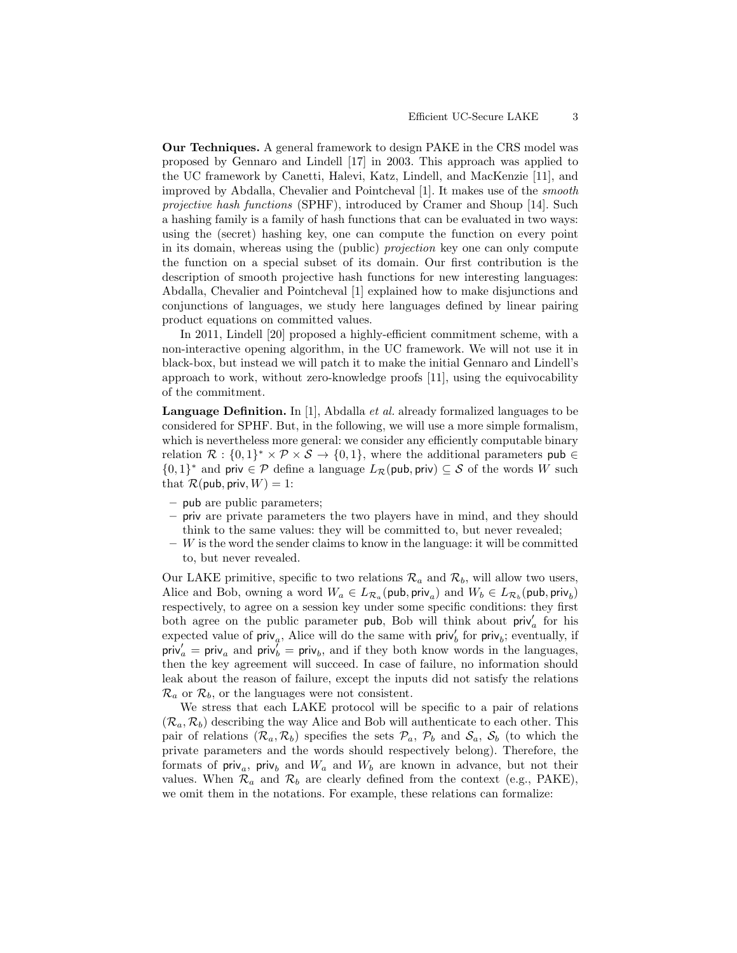Our Techniques. A general framework to design PAKE in the CRS model was proposed by Gennaro and Lindell [17] in 2003. This approach was applied to the UC framework by Canetti, Halevi, Katz, Lindell, and MacKenzie [11], and improved by Abdalla, Chevalier and Pointcheval [1]. It makes use of the smooth projective hash functions (SPHF), introduced by Cramer and Shoup [14]. Such a hashing family is a family of hash functions that can be evaluated in two ways: using the (secret) hashing key, one can compute the function on every point in its domain, whereas using the (public) projection key one can only compute the function on a special subset of its domain. Our first contribution is the description of smooth projective hash functions for new interesting languages: Abdalla, Chevalier and Pointcheval [1] explained how to make disjunctions and conjunctions of languages, we study here languages defined by linear pairing product equations on committed values.

In 2011, Lindell [20] proposed a highly-efficient commitment scheme, with a non-interactive opening algorithm, in the UC framework. We will not use it in black-box, but instead we will patch it to make the initial Gennaro and Lindell's approach to work, without zero-knowledge proofs [11], using the equivocability of the commitment.

Language Definition. In [1], Abdalla *et al.* already formalized languages to be considered for SPHF. But, in the following, we will use a more simple formalism, which is nevertheless more general: we consider any efficiently computable binary relation  $\mathcal{R}: \{0,1\}^* \times \mathcal{P} \times \mathcal{S} \to \{0,1\}$ , where the additional parameters pub  $\in$ {0, 1}<sup>\*</sup> and priv ∈ P define a language  $L_{\mathcal{R}}(\text{pub}, \text{priv}) \subseteq \mathcal{S}$  of the words W such that  $\mathcal{R}(\text{pub}, \text{priv}, W) = 1$ :

- pub are public parameters;
- priv are private parameters the two players have in mind, and they should think to the same values: they will be committed to, but never revealed;
- $-$  W is the word the sender claims to know in the language: it will be committed to, but never revealed.

Our LAKE primitive, specific to two relations  $\mathcal{R}_a$  and  $\mathcal{R}_b$ , will allow two users, Alice and Bob, owning a word  $W_a \in L_{\mathcal{R}_a}(\text{pub}, \text{priv}_a)$  and  $W_b \in L_{\mathcal{R}_b}(\text{pub}, \text{priv}_b)$ respectively, to agree on a session key under some specific conditions: they first both agree on the public parameter pub, Bob will think about  $\text{priv}'_a$  for his expected value of  $\text{priv}_a$ , Alice will do the same with  $\text{priv}_b$  for  $\text{priv}_b$ ; eventually, if  $\text{priv}'_a = \text{priv}_a$  and  $\text{priv}^{\prime}_b = \text{priv}_b$ , and if they both know words in the languages, then the key agreement will succeed. In case of failure, no information should leak about the reason of failure, except the inputs did not satisfy the relations  $\mathcal{R}_a$  or  $\mathcal{R}_b$ , or the languages were not consistent.

We stress that each LAKE protocol will be specific to a pair of relations  $(\mathcal{R}_a, \mathcal{R}_b)$  describing the way Alice and Bob will authenticate to each other. This pair of relations  $(\mathcal{R}_a, \mathcal{R}_b)$  specifies the sets  $\mathcal{P}_a$ ,  $\mathcal{P}_b$  and  $\mathcal{S}_a$ ,  $\mathcal{S}_b$  (to which the private parameters and the words should respectively belong). Therefore, the formats of  $\text{priv}_a$ ,  $\text{priv}_b$  and  $W_a$  and  $W_b$  are known in advance, but not their values. When  $\mathcal{R}_a$  and  $\mathcal{R}_b$  are clearly defined from the context (e.g., PAKE), we omit them in the notations. For example, these relations can formalize: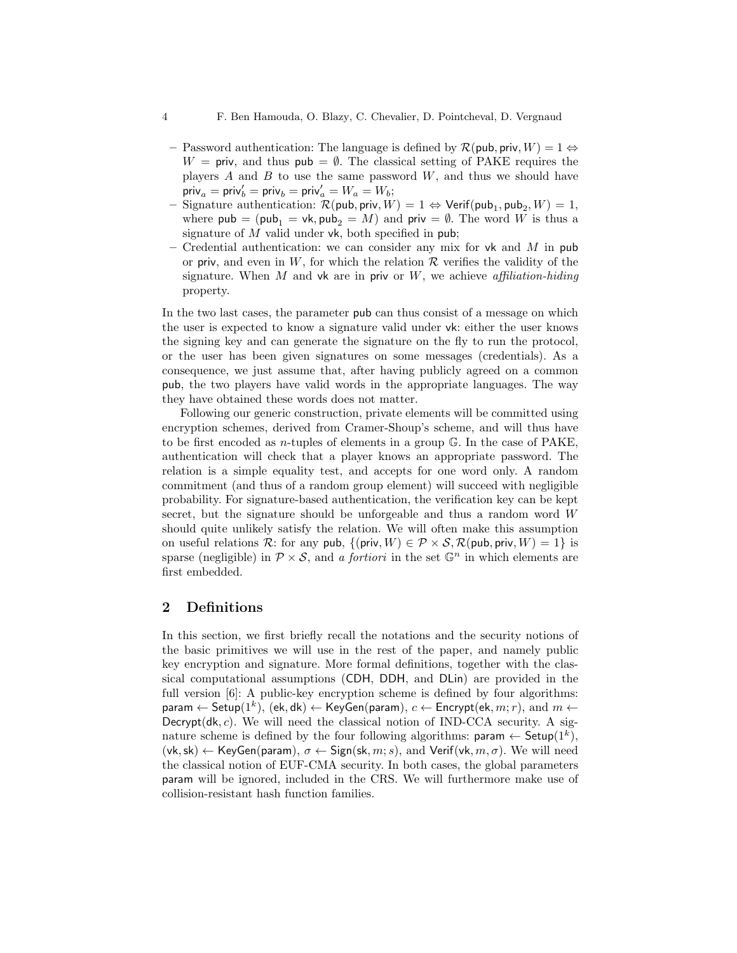- Password authentication: The language is defined by  $\mathcal{R}(\mathsf{pub}, \mathsf{priv}, W) = 1 \Leftrightarrow$  $W = \text{priv}, \text{ and thus } \text{pub} = \emptyset.$  The classical setting of PAKE requires the players  $A$  and  $B$  to use the same password  $W$ , and thus we should have  $\textsf{priv}_a = \textsf{priv}_b' = \textsf{priv}_b = \textsf{priv}_a' = W_a = W_b;$
- $−$  Signature authentication:  $\mathcal{R}(\mathsf{pub}, \mathsf{priv}, W) = 1 \Leftrightarrow \mathsf{Verify}(\mathsf{pub}_1, \mathsf{pub}_2, W) = 1,$ where  $pub = (pub_1 = vk, pub_2 = M)$  and  $priv = \emptyset$ . The word W is thus a signature of  $M$  valid under vk, both specified in pub;
- Credential authentication: we can consider any mix for vk and M in pub or priv, and even in W, for which the relation  $\mathcal R$  verifies the validity of the signature. When  $M$  and vk are in priv or  $W$ , we achieve affiliation-hiding property.

In the two last cases, the parameter pub can thus consist of a message on which the user is expected to know a signature valid under vk: either the user knows the signing key and can generate the signature on the fly to run the protocol, or the user has been given signatures on some messages (credentials). As a consequence, we just assume that, after having publicly agreed on a common pub, the two players have valid words in the appropriate languages. The way they have obtained these words does not matter.

Following our generic construction, private elements will be committed using encryption schemes, derived from Cramer-Shoup's scheme, and will thus have to be first encoded as *n*-tuples of elements in a group  $\mathbb{G}$ . In the case of PAKE, authentication will check that a player knows an appropriate password. The relation is a simple equality test, and accepts for one word only. A random commitment (and thus of a random group element) will succeed with negligible probability. For signature-based authentication, the verification key can be kept secret, but the signature should be unforgeable and thus a random word  $W$ should quite unlikely satisfy the relation. We will often make this assumption on useful relations R: for any pub,  $\{(\text{priv}, W) \in \mathcal{P} \times \mathcal{S}, \mathcal{R}(\text{pub}, \text{priv}, W) = 1\}$  is sparse (negligible) in  $\mathcal{P} \times \mathcal{S}$ , and a fortiori in the set  $\mathbb{G}^n$  in which elements are first embedded.

# 2 Definitions

In this section, we first briefly recall the notations and the security notions of the basic primitives we will use in the rest of the paper, and namely public key encryption and signature. More formal definitions, together with the classical computational assumptions (CDH, DDH, and DLin) are provided in the full version [6]: A public-key encryption scheme is defined by four algorithms: param  $\leftarrow$  Setup $(1^k)$ ,  $(\mathsf{ek}, \mathsf{dk}) \leftarrow \mathsf{KeyGen}(\mathsf{param}), \ c \leftarrow \mathsf{Encrypt}(\mathsf{ek}, m; r), \text{ and } m \leftarrow$ Decrypt( $dk, c$ ). We will need the classical notion of IND-CCA security. A signature scheme is defined by the four following algorithms:  $\mathsf{param} \leftarrow \mathsf{Setup}(1^k)$ ,  $(vk, sk) \leftarrow \text{KeyGen(param)}$ ,  $\sigma \leftarrow \text{Sign}(sk, m; s)$ , and Verif(vk,  $m, \sigma$ ). We will need the classical notion of EUF-CMA security. In both cases, the global parameters param will be ignored, included in the CRS. We will furthermore make use of collision-resistant hash function families.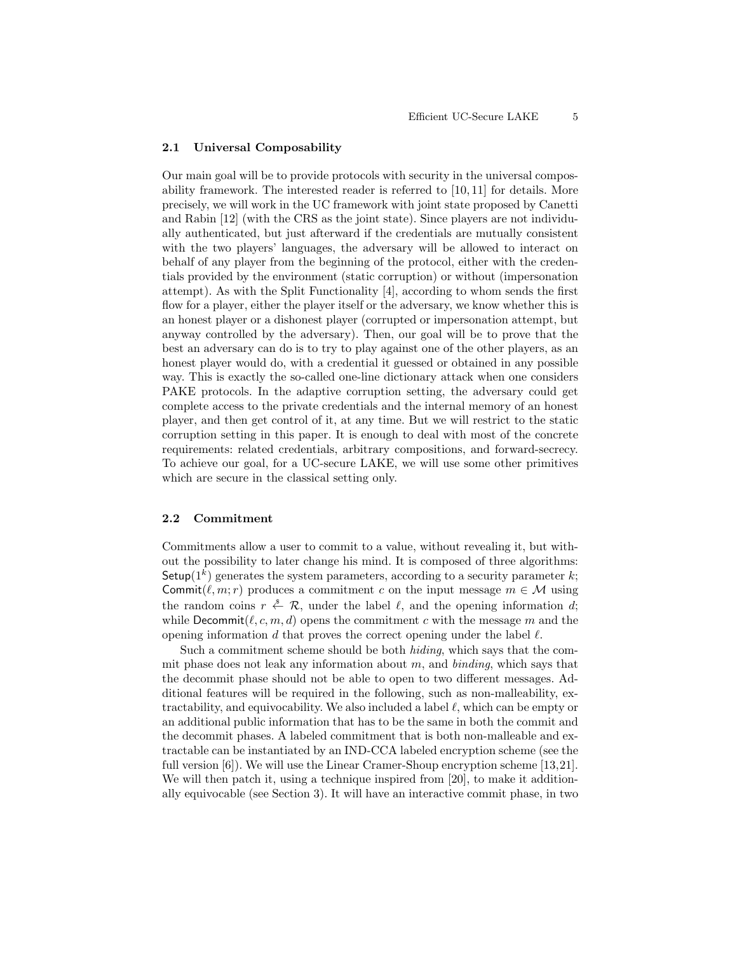### 2.1 Universal Composability

Our main goal will be to provide protocols with security in the universal composability framework. The interested reader is referred to [10, 11] for details. More precisely, we will work in the UC framework with joint state proposed by Canetti and Rabin [12] (with the CRS as the joint state). Since players are not individually authenticated, but just afterward if the credentials are mutually consistent with the two players' languages, the adversary will be allowed to interact on behalf of any player from the beginning of the protocol, either with the credentials provided by the environment (static corruption) or without (impersonation attempt). As with the Split Functionality [4], according to whom sends the first flow for a player, either the player itself or the adversary, we know whether this is an honest player or a dishonest player (corrupted or impersonation attempt, but anyway controlled by the adversary). Then, our goal will be to prove that the best an adversary can do is to try to play against one of the other players, as an honest player would do, with a credential it guessed or obtained in any possible way. This is exactly the so-called one-line dictionary attack when one considers PAKE protocols. In the adaptive corruption setting, the adversary could get complete access to the private credentials and the internal memory of an honest player, and then get control of it, at any time. But we will restrict to the static corruption setting in this paper. It is enough to deal with most of the concrete requirements: related credentials, arbitrary compositions, and forward-secrecy. To achieve our goal, for a UC-secure LAKE, we will use some other primitives which are secure in the classical setting only.

### 2.2 Commitment

Commitments allow a user to commit to a value, without revealing it, but without the possibility to later change his mind. It is composed of three algorithms: Setup( $1<sup>k</sup>$ ) generates the system parameters, according to a security parameter k; Commit $(\ell, m; r)$  produces a commitment c on the input message  $m \in \mathcal{M}$  using the random coins  $r \stackrel{\$}{\leftarrow} \mathcal{R}$ , under the label  $\ell$ , and the opening information d; while Decommit $(\ell, c, m, d)$  opens the commitment c with the message m and the opening information d that proves the correct opening under the label  $\ell$ .

Such a commitment scheme should be both hiding, which says that the commit phase does not leak any information about m, and  $binding$ , which says that the decommit phase should not be able to open to two different messages. Additional features will be required in the following, such as non-malleability, extractability, and equivocability. We also included a label  $\ell$ , which can be empty or an additional public information that has to be the same in both the commit and the decommit phases. A labeled commitment that is both non-malleable and extractable can be instantiated by an IND-CCA labeled encryption scheme (see the full version [6]). We will use the Linear Cramer-Shoup encryption scheme [13,21]. We will then patch it, using a technique inspired from [20], to make it additionally equivocable (see Section 3). It will have an interactive commit phase, in two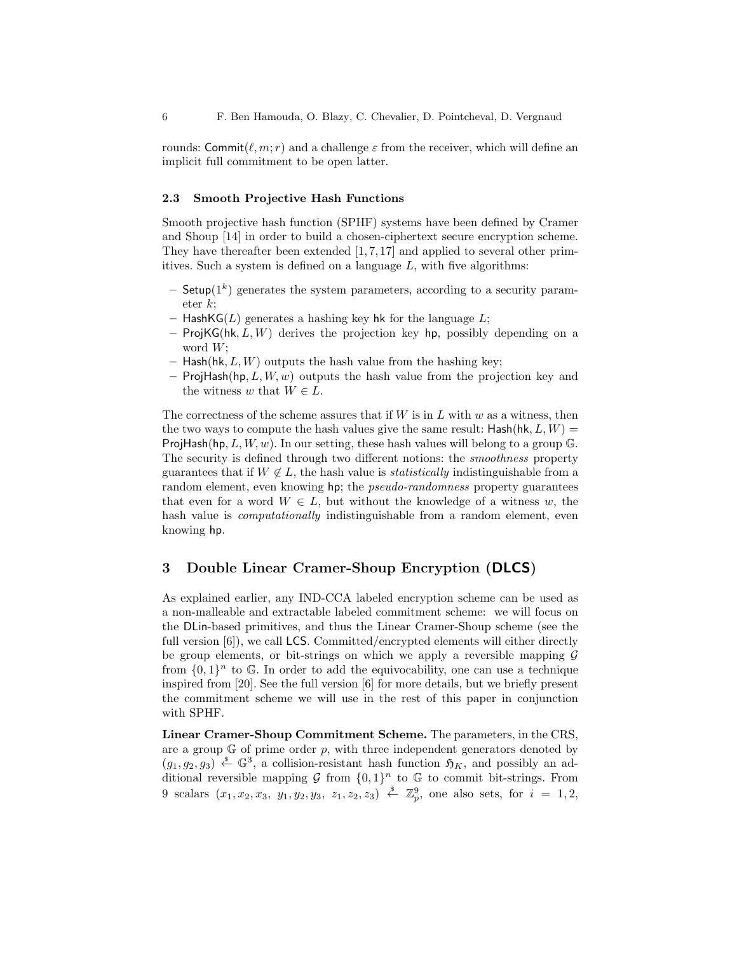rounds: Commit $(\ell, m; r)$  and a challenge  $\varepsilon$  from the receiver, which will define an implicit full commitment to be open latter.

### 2.3 Smooth Projective Hash Functions

Smooth projective hash function (SPHF) systems have been defined by Cramer and Shoup [14] in order to build a chosen-ciphertext secure encryption scheme. They have thereafter been extended  $[1, 7, 17]$  and applied to several other primitives. Such a system is defined on a language  $L$ , with five algorithms:

- $-$  Setup( $1<sup>k</sup>$ ) generates the system parameters, according to a security parameter k;
- HashKG( $L$ ) generates a hashing key hk for the language  $L$ ;
- ProjKG(hk,  $L, W$ ) derives the projection key hp, possibly depending on a word  $W$ :
- Hash(hk,  $L, W$ ) outputs the hash value from the hashing key;
- ProjHash(hp,  $L, W, w$ ) outputs the hash value from the projection key and the witness w that  $W \in L$ .

The correctness of the scheme assures that if  $W$  is in  $L$  with  $w$  as a witness, then the two ways to compute the hash values give the same result:  $\mathsf{Hash}(\mathsf{hk}, L, W) =$ ProjHash(hp,  $L, W, w$ ). In our setting, these hash values will belong to a group G. The security is defined through two different notions: the smoothness property guarantees that if  $W \notin L$ , the hash value is *statistically* indistinguishable from a random element, even knowing hp; the *pseudo-randomness* property guarantees that even for a word  $W \in L$ , but without the knowledge of a witness w, the hash value is *computationally* indistinguishable from a random element, even knowing hp.

### 3 Double Linear Cramer-Shoup Encryption (DLCS)

As explained earlier, any IND-CCA labeled encryption scheme can be used as a non-malleable and extractable labeled commitment scheme: we will focus on the DLin-based primitives, and thus the Linear Cramer-Shoup scheme (see the full version [6]), we call LCS. Committed/encrypted elements will either directly be group elements, or bit-strings on which we apply a reversible mapping  $G$ from  $\{0,1\}^n$  to G. In order to add the equivocability, one can use a technique inspired from [20]. See the full version [6] for more details, but we briefly present the commitment scheme we will use in the rest of this paper in conjunction with SPHF.

Linear Cramer-Shoup Commitment Scheme. The parameters, in the CRS, are a group  $\mathbb G$  of prime order p, with three independent generators denoted by  $(g_1, g_2, g_3) \stackrel{\hspace{0.1em}\mathsf{\scriptscriptstyle\$}}{\leftarrow} \mathbb{G}^3$ , a collision-resistant hash function  $\mathfrak{H}_K$ , and possibly an additional reversible mapping G from  $\{0,1\}^n$  to G to commit bit-strings. From 9 scalars  $(x_1, x_2, x_3, y_1, y_2, y_3, z_1, z_2, z_3) \stackrel{\$}{\leftarrow} \mathbb{Z}_p^9$ , one also sets, for  $i = 1, 2$ ,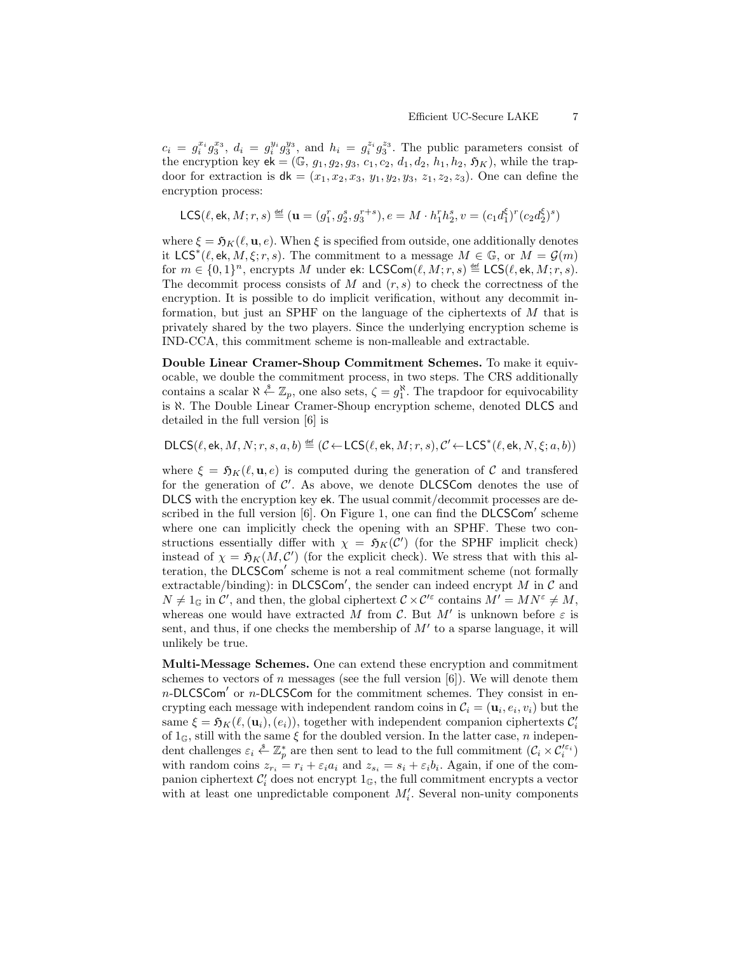$c_i = g_i^{x_i} g_3^{x_3}, d_i = g_i^{y_i} g_3^{y_3}$ , and  $h_i = g_i^{z_i} g_3^{z_3}$ . The public parameters consist of the encryption key  $ek = (\mathbb{G}, g_1, g_2, g_3, c_1, c_2, d_1, d_2, h_1, h_2, \mathfrak{H}_K)$ , while the trapdoor for extraction is  $dk = (x_1, x_2, x_3, y_1, y_2, y_3, z_1, z_2, z_3)$ . One can define the encryption process:

$$
\mathsf{LCS}(\ell, \mathsf{ek}, M; r, s) \stackrel{\scriptscriptstyle{\mathsf{def}}}{=} (\mathbf{u} = (g_1^r, g_2^s, g_3^{r+s}), e = M \cdot h_1^r h_2^s, v = (c_1 d_1^\xi)^r (c_2 d_2^\xi)^s)
$$

where  $\xi = \mathfrak{H}_K(\ell, \mathbf{u}, \epsilon)$ . When  $\xi$  is specified from outside, one additionally denotes it LCS<sup>\*</sup>( $\ell$ , ek,  $\tilde{M}$ ,  $\xi$ ;  $r, s$ ). The commitment to a message  $M \in \mathbb{G}$ , or  $\tilde{M} = \mathcal{G}(m)$ for  $m \in \{0,1\}^n$ , encrypts M under ek: LCSCom $(\ell, M; r, s) \stackrel{\text{def}}{=} \text{LCS}(\ell, \text{ek}, M; r, s)$ . The decommit process consists of  $M$  and  $(r, s)$  to check the correctness of the encryption. It is possible to do implicit verification, without any decommit information, but just an SPHF on the language of the ciphertexts of M that is privately shared by the two players. Since the underlying encryption scheme is IND-CCA, this commitment scheme is non-malleable and extractable.

Double Linear Cramer-Shoup Commitment Schemes. To make it equivocable, we double the commitment process, in two steps. The CRS additionally contains a scalar  $\aleph \stackrel{s}{\leftarrow} \mathbb{Z}_p$ , one also sets,  $\zeta = g_1^{\aleph}$ . The trapdoor for equivocability is ℵ. The Double Linear Cramer-Shoup encryption scheme, denoted DLCS and detailed in the full version [6] is

 $\mathsf{DLCS}(\ell, \mathsf{ek}, M, N; r, s, a, b) \stackrel{\scriptscriptstyle{\mathsf{def}}}{=} (\mathcal{C} \leftarrow \mathsf{LCS}(\ell, \mathsf{ek}, M; r, s), \mathcal{C}' \leftarrow \mathsf{LCS}^*(\ell, \mathsf{ek}, N, \xi; a, b))$ 

where  $\xi = \mathfrak{H}_K(\ell, \mathbf{u}, e)$  is computed during the generation of C and transferred for the generation of  $C'$ . As above, we denote DLCSCom denotes the use of DLCS with the encryption key ek. The usual commit/decommit processes are described in the full version  $[6]$ . On Figure 1, one can find the DLCSCom' scheme where one can implicitly check the opening with an SPHF. These two constructions essentially differ with  $\chi = \mathfrak{H}_K(\mathcal{C}')$  (for the SPHF implicit check) instead of  $\chi = \mathfrak{H}_K(M, \mathcal{C}')$  (for the explicit check). We stress that with this alteration, the DLCSCom' scheme is not a real commitment scheme (not formally extractable/binding): in DLCSCom', the sender can indeed encrypt M in  $\mathcal C$  and  $N \neq 1_G$  in  $\mathcal{C}'$ , and then, the global ciphertext  $\mathcal{C} \times \mathcal{C}'^{\varepsilon}$  contains  $M' = MN^{\varepsilon} \neq M$ , whereas one would have extracted M from C. But M' is unknown before  $\varepsilon$  is sent, and thus, if one checks the membership of  $M'$  to a sparse language, it will unlikely be true.

Multi-Message Schemes. One can extend these encryption and commitment schemes to vectors of n messages (see the full version  $[6]$ ). We will denote them  $n$ -DLCSCom' or  $n$ -DLCSCom for the commitment schemes. They consist in encrypting each message with independent random coins in  $\mathcal{C}_i = (\mathbf{u}_i, e_i, v_i)$  but the same  $\xi = \mathfrak{H}_K(\ell, (\mathbf{u}_i), (e_i))$ , together with independent companion ciphertexts  $C_i'$ of  $1_{\mathbb{G}}$ , still with the same  $\xi$  for the doubled version. In the latter case, n independent challenges  $\varepsilon_i \overset{\hspace{0.1em}\mathsf{\scriptscriptstyle\$}}{\leftarrow} \mathbb{Z}_p^*$  are then sent to lead to the full commitment  $(\mathcal{C}_i \times \mathcal{C}_i'^{\varepsilon_i})$ with random coins  $z_{r_i} = r_i + \varepsilon_i a_i$  and  $z_{s_i} = s_i + \varepsilon_i b_i$ . Again, if one of the companion ciphertext  $\mathcal{C}'_i$  does not encrypt  $1_{\mathbb{G}},$  the full commitment encrypts a vector with at least one unpredictable component  $M_i'$ . Several non-unity components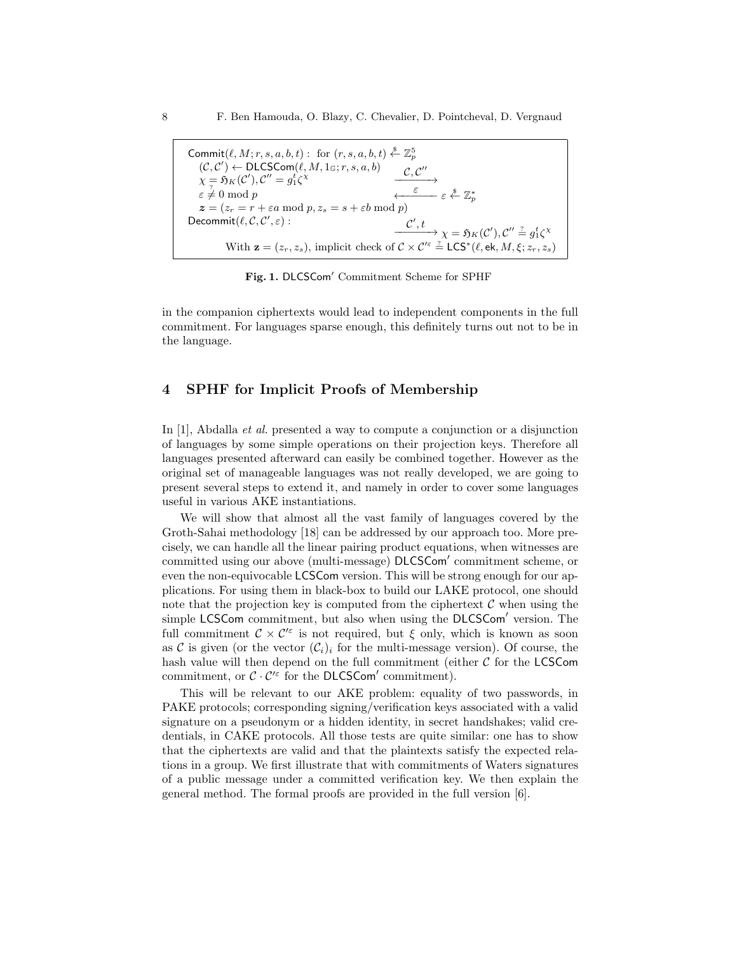Commit $(\ell, M; r, s, a, b, t)$ : for  $(r, s, a, b, t) \stackrel{\$}{\leftarrow} \mathbb{Z}_p^5$  $(C, C') \leftarrow \text{DLCSCom}(\ell, M, 1_{\mathbb{G}}; r, s, a, b)$ <br>  $\mathcal{C}, \mathcal{C}$  $\chi = \mathfrak{H}_K(\mathcal{C}'), \mathcal{C}'' = g_1^t \zeta$  $^{\prime\prime}$  $\longrightarrow$  $\leftarrow$   $\varepsilon$   $\varepsilon$   $\mathbb{Z}_p^*$  $\varepsilon \neq 0 \mod p$  $z = (z_r = r + \varepsilon a \mod p, z_s = s + \varepsilon b \mod p)$ Decommit $(\ell, \mathcal{C}, \mathcal{C}')$ ,  $\varepsilon$ ) :  $\begin{equation} \mathcal{C}', t \longrightarrow \chi = \mathfrak{H}_K(\mathcal{C}'), \mathcal{C}'' \stackrel{?}{=} g_1^t \zeta^\chi \end{equation}$ With  $\mathbf{z} = (z_r, z_s)$ , implicit check of  $\mathcal{C} \times \mathcal{C}'^{\varepsilon} \stackrel{?}{=} \mathsf{LCS}^*(\ell, \mathsf{ek}, M, \xi; z_r, z_s)$ 

Fig. 1. DLCSCom' Commitment Scheme for SPHF

in the companion ciphertexts would lead to independent components in the full commitment. For languages sparse enough, this definitely turns out not to be in the language.

# 4 SPHF for Implicit Proofs of Membership

In [1], Abdalla *et al.* presented a way to compute a conjunction or a disjunction of languages by some simple operations on their projection keys. Therefore all languages presented afterward can easily be combined together. However as the original set of manageable languages was not really developed, we are going to present several steps to extend it, and namely in order to cover some languages useful in various AKE instantiations.

We will show that almost all the vast family of languages covered by the Groth-Sahai methodology [18] can be addressed by our approach too. More precisely, we can handle all the linear pairing product equations, when witnesses are committed using our above (multi-message) DLCSCom' commitment scheme, or even the non-equivocable LCSCom version. This will be strong enough for our applications. For using them in black-box to build our LAKE protocol, one should note that the projection key is computed from the ciphertext  $\mathcal C$  when using the simple LCSCom commitment, but also when using the DLCSCom' version. The full commitment  $\mathcal{C} \times \mathcal{C}'^{\varepsilon}$  is not required, but  $\xi$  only, which is known as soon as C is given (or the vector  $(\mathcal{C}_i)_i$  for the multi-message version). Of course, the hash value will then depend on the full commitment (either  $C$  for the LCSCom commitment, or  $\mathcal{C} \cdot \mathcal{C}'^{\varepsilon}$  for the DLCSCom' commitment).

This will be relevant to our AKE problem: equality of two passwords, in PAKE protocols; corresponding signing/verification keys associated with a valid signature on a pseudonym or a hidden identity, in secret handshakes; valid credentials, in CAKE protocols. All those tests are quite similar: one has to show that the ciphertexts are valid and that the plaintexts satisfy the expected relations in a group. We first illustrate that with commitments of Waters signatures of a public message under a committed verification key. We then explain the general method. The formal proofs are provided in the full version [6].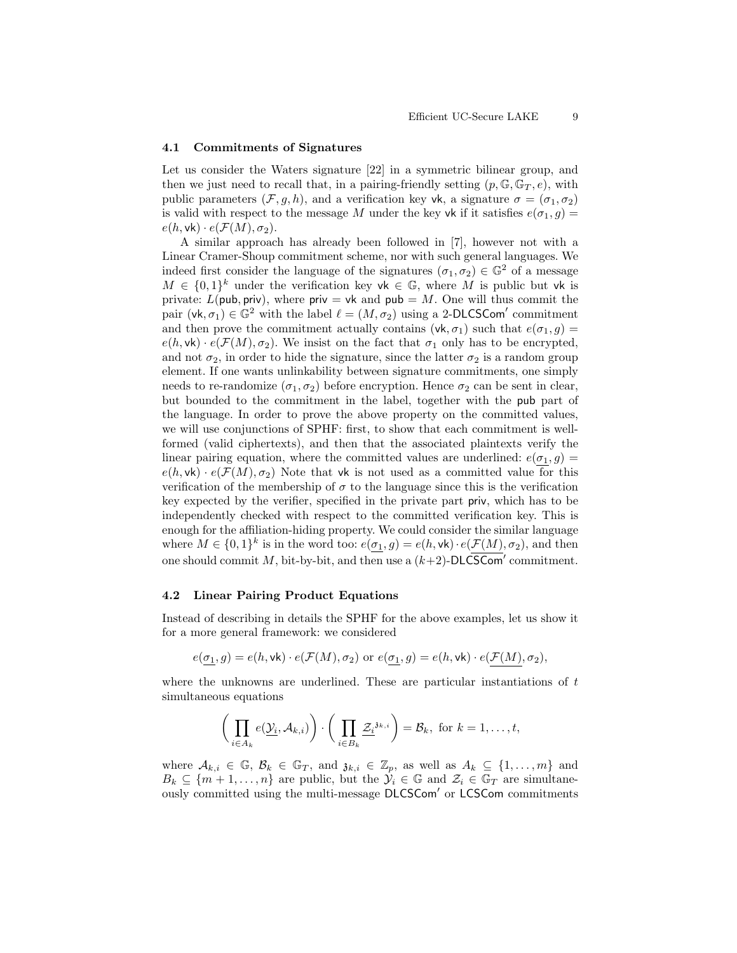#### 4.1 Commitments of Signatures

Let us consider the Waters signature [22] in a symmetric bilinear group, and then we just need to recall that, in a pairing-friendly setting  $(p, \mathbb{G}, \mathbb{G}_T, e)$ , with public parameters  $(\mathcal{F}, g, h)$ , and a verification key vk, a signature  $\sigma = (\sigma_1, \sigma_2)$ is valid with respect to the message M under the key vk if it satisfies  $e(\sigma_1, g)$  =  $e(h, \mathsf{vk}) \cdot e(\mathcal{F}(M), \sigma_2).$ 

A similar approach has already been followed in [7], however not with a Linear Cramer-Shoup commitment scheme, nor with such general languages. We indeed first consider the language of the signatures  $(\sigma_1, \sigma_2) \in \mathbb{G}^2$  of a message  $M \in \{0,1\}^k$  under the verification key vk  $\in \mathbb{G}$ , where M is public but vk is private:  $L(\text{pub}, \text{priv})$ , where priv = vk and  $\text{pub} = M$ . One will thus commit the pair  $(\mathsf{vk}, \sigma_1) \in \mathbb{G}^2$  with the label  $\ell = (M, \sigma_2)$  using a 2-DLCSCom' commitment and then prove the commitment actually contains ( $vk, \sigma_1$ ) such that  $e(\sigma_1, g)$  =  $e(h, \mathsf{vk}) \cdot e(\mathcal{F}(M), \sigma_2)$ . We insist on the fact that  $\sigma_1$  only has to be encrypted, and not  $\sigma_2$ , in order to hide the signature, since the latter  $\sigma_2$  is a random group element. If one wants unlinkability between signature commitments, one simply needs to re-randomize  $(\sigma_1, \sigma_2)$  before encryption. Hence  $\sigma_2$  can be sent in clear, but bounded to the commitment in the label, together with the pub part of the language. In order to prove the above property on the committed values, we will use conjunctions of SPHF: first, to show that each commitment is wellformed (valid ciphertexts), and then that the associated plaintexts verify the linear pairing equation, where the committed values are underlined:  $e(\sigma_1, g)$  =  $e(h, \mathsf{vk}) \cdot e(\mathcal{F}(M), \sigma_2)$  Note that vk is not used as a committed value for this verification of the membership of  $\sigma$  to the language since this is the verification key expected by the verifier, specified in the private part priv, which has to be independently checked with respect to the committed verification key. This is enough for the affiliation-hiding property. We could consider the similar language where  $M \in \{0,1\}^k$  is in the word too:  $e(\sigma_1, g) = e(h, \mathsf{vk}) \cdot e(\mathcal{F}(M), \sigma_2)$ , and then one should commit M, bit-by-bit, and then use a  $(k+2)$ -DLCSCom' commitment.

### 4.2 Linear Pairing Product Equations

Instead of describing in details the SPHF for the above examples, let us show it for a more general framework: we considered

$$
e(\underline{\sigma_1},g)=e(h,\textsf{vk})\cdot e(\mathcal{F}(M),\sigma_2) \text{ or } e(\underline{\sigma_1},g)=e(h,\textsf{vk})\cdot e(\mathcal{F}(M),\sigma_2),
$$

where the unknowns are underlined. These are particular instantiations of  $t$ simultaneous equations

$$
\bigg(\prod_{i\in A_k}e(\underline{\mathcal{Y}}_i,\mathcal{A}_{k,i})\bigg)\cdot \bigg(\prod_{i\in B_k}\underline{\mathcal{Z}}_i^{3^{k,i}}\bigg)=\mathcal{B}_k, \text{ for } k=1,\ldots,t,
$$

where  $\mathcal{A}_{k,i} \in \mathbb{G}$ ,  $\mathcal{B}_k \in \mathbb{G}_T$ , and  $\mathfrak{z}_{k,i} \in \mathbb{Z}_p$ , as well as  $A_k \subseteq \{1, \ldots, m\}$  and  $B_k \subseteq \{m+1,\ldots,n\}$  are public, but the  $\mathcal{Y}_i \in \mathbb{G}$  and  $\mathcal{Z}_i \in \mathbb{G}_T$  are simultaneously committed using the multi-message DLCSCom' or LCSCom commitments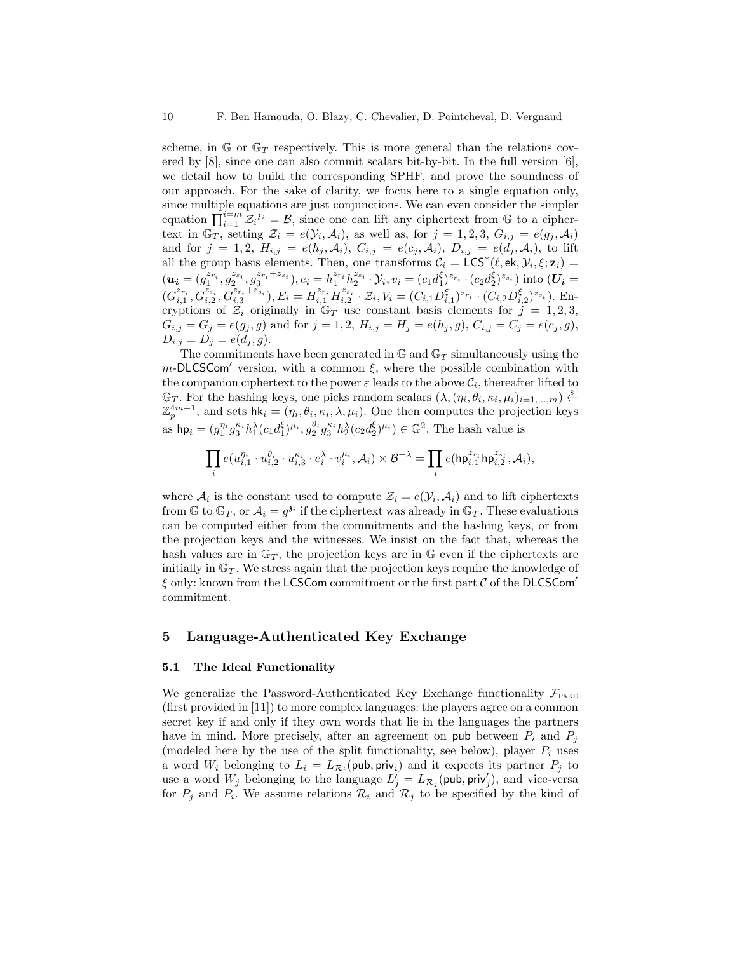scheme, in  $\mathbb{G}$  or  $\mathbb{G}_T$  respectively. This is more general than the relations covered by  $[8]$ , since one can also commit scalars bit-by-bit. In the full version  $[6]$ , we detail how to build the corresponding SPHF, and prove the soundness of our approach. For the sake of clarity, we focus here to a single equation only, since multiple equations are just conjunctions. We can even consider the simpler equation  $\prod_{i=1}^{i=m} \underline{\mathcal{Z}_i}^{i} = \mathcal{B}$ , since one can lift any ciphertext from G to a ciphertext in  $\mathbb{G}_T$ , setting  $\mathcal{Z}_i = e(\mathcal{Y}_i, \mathcal{A}_i)$ , as well as, for  $j = 1, 2, 3$ ,  $G_{i,j} = e(g_j, \mathcal{A}_i)$ and for  $j = 1, 2, H_{i,j} = e(h_j, A_i), C_{i,j} = e(c_j, A_i), D_{i,j} = e(\tilde{d}_j, A_i),$  to lift all the group basis elements. Then, one transforms  $\mathcal{C}_i = \text{LCS}^*(\ell, \text{ek}, \mathcal{Y}_i, \xi; \mathbf{z}_i)$  $(\boldsymbol{u_i}=(\stackrel{\_}{g_1^{x_{r_i}}},\stackrel{\_}{g_2^{x_{s_i}}},\stackrel{\_}{g_3^{x_{r_i}+x_{s_i}}}),e_i=h_1^{z_{r_i}}h_2^{z_{s_i}}\cdot \mathcal{Y}_i, v_i=(c_1d_1^{\xi})^{z_{r_i}}\cdot (c_2d_2^{\xi})^{z_{s_i}}) \text{ into }(\boldsymbol{U_i}=$  $(G_{i,1}^{z_{r_i}}, G_{i,2}^{z_{s_i}}, G_{i,3}^{z_{r_i}+z_{s_i}}), E_i = H_{i,1}^{z_{r_i}} H_{i,2}^{z_{s_i}} \cdot \mathcal{Z}_i, V_i = (C_{i,1} D_{i,1}^{\xi})^{z_{r_i}} \cdot (C_{i,2} D_{i,2}^{\xi})^{z_{s_i}}).$  Encryptions of  $Z_i$  originally in  $\mathbb{G}_T$  use constant basis elements for  $j = 1, 2, 3$ ,  $G_{i,j} = G_j = e(g_j, g)$  and for  $j = 1, 2, H_{i,j} = H_j = e(h_j, g), C_{i,j} = C_j = e(c_j, g)$ ,  $D_{i,j} = D_j = e(d_j, g).$ 

The commitments have been generated in  $\mathbb{G}$  and  $\mathbb{G}_T$  simultaneously using the  $m$ -DLCSCom' version, with a common  $\xi$ , where the possible combination with the companion ciphertext to the power  $\varepsilon$  leads to the above  $\mathcal{C}_i$ , thereafter lifted to  $\mathbb{G}_T$ . For the hashing keys, one picks random scalars  $(\lambda, (\eta_i, \theta_i, \kappa_i, \mu_i)_{i=1,\dots,m}) \stackrel{\$}{\leftarrow}$  $\mathbb{Z}_p^{4m+1}$ , and sets  $\mathsf{hk}_i = (\eta_i, \theta_i, \kappa_i, \lambda, \mu_i)$ . One then computes the projection keys as  $hp_i = (g_1^{\eta_i} g_3^{\kappa_i} h_1^{\lambda} (c_1 d_1^{\xi})^{\mu_i}, g_2^{\theta_i} g_3^{\kappa_i} h_2^{\lambda} (c_2 d_2^{\xi})^{\mu_i}) \in \mathbb{G}^2$ . The hash value is

$$
\prod_i e(u_{i,1}^{\eta_i}\cdot u_{i,2}^{\theta_i}\cdot u_{i,3}^{\kappa_i}\cdot e_i^\lambda\cdot v_i^{\mu_i}, \mathcal{A}_i)\times \mathcal{B}^{-\lambda}=\prod_i e(\mathsf{hp}_{i,1}^{z_{r_i}}\mathsf{hp}_{i,2}^{z_{s_i}}, \mathcal{A}_i),
$$

where  $A_i$  is the constant used to compute  $\mathcal{Z}_i = e(\mathcal{Y}_i, A_i)$  and to lift ciphertexts from  $\mathbb{G}$  to  $\mathbb{G}_T$ , or  $\mathcal{A}_i = g^{3i}$  if the ciphertext was already in  $\mathbb{G}_T$ . These evaluations can be computed either from the commitments and the hashing keys, or from the projection keys and the witnesses. We insist on the fact that, whereas the hash values are in  $\mathbb{G}_T$ , the projection keys are in  $\mathbb{G}$  even if the ciphertexts are initially in  $\mathbb{G}_T$ . We stress again that the projection keys require the knowledge of  $\xi$  only: known from the LCSCom commitment or the first part  $C$  of the DLCSCom' commitment.

### 5 Language-Authenticated Key Exchange

### 5.1 The Ideal Functionality

We generalize the Password-Authenticated Key Exchange functionality  $\mathcal{F}_{\text{PAKE}}$ (first provided in [11]) to more complex languages: the players agree on a common secret key if and only if they own words that lie in the languages the partners have in mind. More precisely, after an agreement on pub between  $P_i$  and  $P_j$ (modeled here by the use of the split functionality, see below), player  $P_i$  uses a word  $W_i$  belonging to  $L_i = L_{\mathcal{R}_i}(\text{pub}, \text{priv}_i)$  and it expects its partner  $P_j$  to use a word  $W_j$  belonging to the language  $L'_j = L_{\mathcal{R}_j}(\text{pub}, \text{priv}'_j)$ , and vice-versa for  $P_j$  and  $P_i$ . We assume relations  $\mathcal{R}_i$  and  $\mathcal{R}_j$  to be specified by the kind of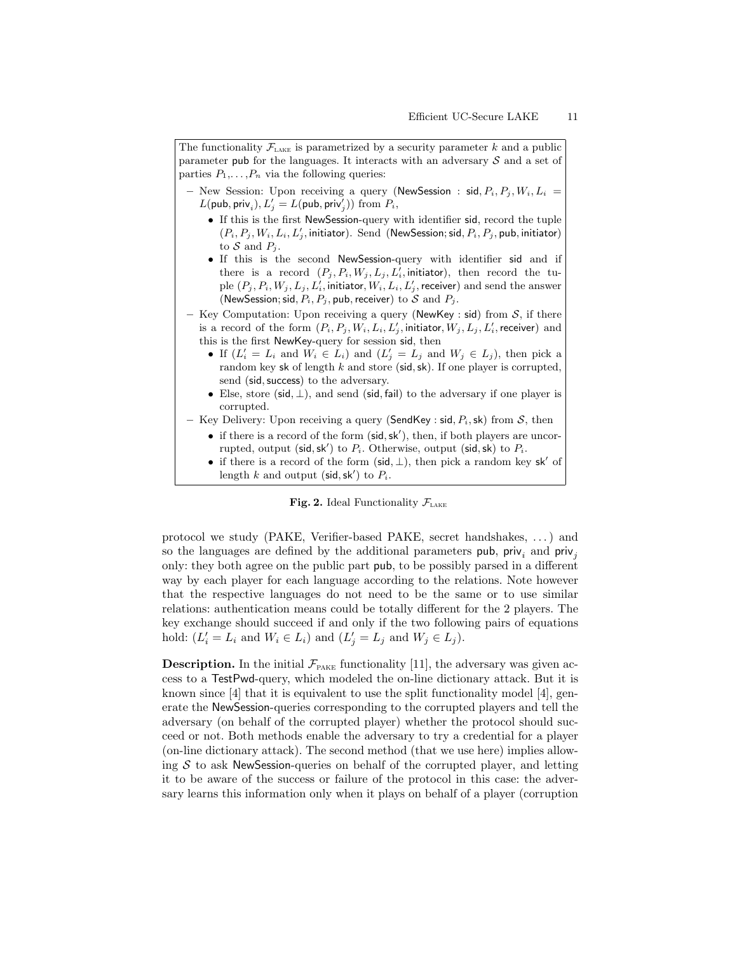| The functionality $\mathcal{F}_{\text{LAKE}}$ is parametrized by a security parameter k and a public<br>parameter pub for the languages. It interacts with an adversary $S$ and a set of<br>parties $P_1, \ldots, P_n$ via the following queries:                                                                                                                                                                                                                                                                                                                    |
|----------------------------------------------------------------------------------------------------------------------------------------------------------------------------------------------------------------------------------------------------------------------------------------------------------------------------------------------------------------------------------------------------------------------------------------------------------------------------------------------------------------------------------------------------------------------|
| - New Session: Upon receiving a query (NewSession : sid, $P_i$ , $P_j$ , $W_i$ , $L_i$ =<br>$L(\mathsf{pub}, \mathsf{priv}_i), L'_i = L(\mathsf{pub}, \mathsf{priv}'_i)$ from $P_i$ ,                                                                                                                                                                                                                                                                                                                                                                                |
| • If this is the first NewSession-query with identifier sid, record the tuple<br>$(P_i, P_j, W_i, L_i, L'_i,$ initiator). Send (NewSession; sid, $P_i, P_j$ , pub, initiator)<br>to S and $P_i$ .                                                                                                                                                                                                                                                                                                                                                                    |
| • If this is the second New Session-query with identifier sid and if<br>there is a record $(P_j, P_i, W_j, L_j, L'_i)$ , initiator), then record the tu-<br>ple $(P_j, P_i, W_j, L_j, L'_i$ , initiator, $W_i, L_i, L'_j$ , receiver) and send the answer<br>(NewSession; sid, $P_i$ , $P_j$ , pub, receiver) to S and $P_j$ .                                                                                                                                                                                                                                       |
| - Key Computation: Upon receiving a query (NewKey : sid) from $S$ , if there<br>is a record of the form $(P_i, P_j, W_i, L_i, L'_j)$ , initiator, $W_j, L_j, L'_i$ , receiver) and<br>this is the first NewKey-query for session sid, then<br>• If $(L'_i = L_i$ and $W_i \in L_i$ and $(L'_j = L_j$ and $W_j \in L_j$ , then pick a<br>random key sk of length $k$ and store (sid, sk). If one player is corrupted,<br>send (sid, success) to the adversary.<br>• Else, store (sid, $\perp$ ), and send (sid, fail) to the adversary if one player is<br>corrupted. |
| - Key Delivery: Upon receiving a query (SendKey : sid, $P_i$ , sk) from S, then<br>• if there is a record of the form $(\text{sid}, \text{sk}'),$ then, if both players are uncor-<br>rupted, output (sid, sk') to $P_i$ . Otherwise, output (sid, sk) to $P_i$ .                                                                                                                                                                                                                                                                                                    |

• if there is a record of the form  $(\text{sid}, \perp)$ , then pick a random key sk' of length k and output (sid, sk') to  $P_i$ .

### Fig. 2. Ideal Functionality  $\mathcal{F}_{\text{LAKE}}$

protocol we study (PAKE, Verifier-based PAKE, secret handshakes, . . . ) and so the languages are defined by the additional parameters pub, priv<sub>i</sub> and priv<sub>i</sub> only: they both agree on the public part pub, to be possibly parsed in a different way by each player for each language according to the relations. Note however that the respective languages do not need to be the same or to use similar relations: authentication means could be totally different for the 2 players. The key exchange should succeed if and only if the two following pairs of equations hold:  $(L'_i = L_i$  and  $W_i \in L_i$ ) and  $(L'_j = L_j$  and  $W_j \in L_j$ ).

**Description.** In the initial  $\mathcal{F}_{\text{PAKE}}$  functionality [11], the adversary was given access to a TestPwd-query, which modeled the on-line dictionary attack. But it is known since [4] that it is equivalent to use the split functionality model [4], generate the NewSession-queries corresponding to the corrupted players and tell the adversary (on behalf of the corrupted player) whether the protocol should succeed or not. Both methods enable the adversary to try a credential for a player (on-line dictionary attack). The second method (that we use here) implies allowing  $S$  to ask NewSession-queries on behalf of the corrupted player, and letting it to be aware of the success or failure of the protocol in this case: the adversary learns this information only when it plays on behalf of a player (corruption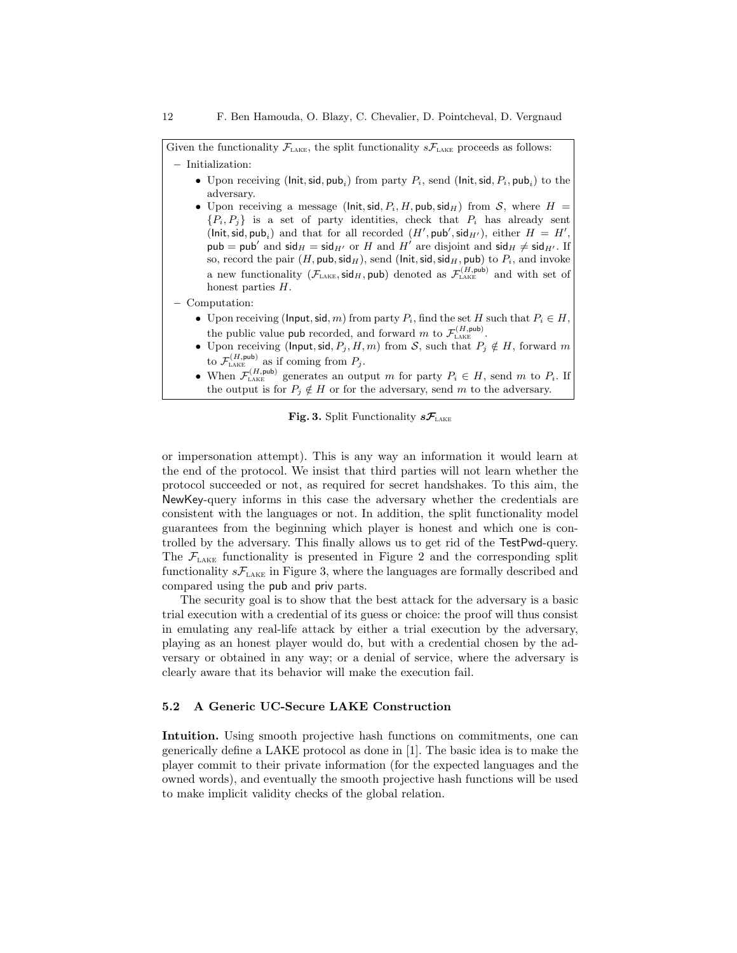Given the functionality  $\mathcal{F}_{\text{LAKE}}$ , the split functionality  $s\mathcal{F}_{\text{LAKE}}$  proceeds as follows: – Initialization:

- Upon receiving (lnit, sid,  $\mathsf{pub}_i$ ) from party  $P_i$ , send (lnit, sid,  $P_i$ ,  $\mathsf{pub}_i$ ) to the adversary.
- Upon receiving a message (lnit, sid,  $P_i$ , H, pub, sid<sub>H</sub>) from S, where  $H =$  ${P_i, P_j}$  is a set of party identities, check that  $P_i$  has already sent  $(\mathsf{Init}, \mathsf{sid}, \mathsf{pub}_i)$  and that for all recorded  $(H', \mathsf{pub}', \mathsf{sid}_{H'}),$  either  $H = H',$ pub = pub' and sid $_H = \text{sid}_{H'}$  or H and H' are disjoint and sid $_H \neq \text{sid}_{H'}$ . If so, record the pair  $(H, \text{pub}, \text{sid}_H)$ , send (lnit, sid, sid<sub>H</sub>, pub) to  $P_i$ , and invoke a new functionality  $(\mathcal{F}_{\text{LAKE}}, \mathsf{sid}_H, \mathsf{pub})$  denoted as  $\mathcal{F}_{\text{LAKE}}^{(H, \mathsf{pub})}$  and with set of honest parties H.

– Computation:

- Upon receiving (Input, sid, m) from party  $P_i$ , find the set H such that  $P_i \in H$ , the public value pub recorded, and forward m to  $\mathcal{F}_{\text{LAKE}}^{(H,\text{pub})}$ .
- Upon receiving (Input, sid,  $P_j$ ,  $H, m$ ) from S, such that  $P_j \notin H$ , forward m to  $\mathcal{F}_{\text{LAKE}}^{(H,\text{pub})}$  as if coming from  $P_j$ .
- When  $\mathcal{F}_{\text{LAKE}}^{(H,\text{pub})}$  generates an output m for party  $P_i \in H$ , send m to  $P_i$ . If the output is for  $P_j \notin H$  or for the adversary, send m to the adversary.

Fig. 3. Split Functionality  $sF_{\text{LAKE}}$ 

or impersonation attempt). This is any way an information it would learn at the end of the protocol. We insist that third parties will not learn whether the protocol succeeded or not, as required for secret handshakes. To this aim, the NewKey-query informs in this case the adversary whether the credentials are consistent with the languages or not. In addition, the split functionality model guarantees from the beginning which player is honest and which one is controlled by the adversary. This finally allows us to get rid of the TestPwd-query. The  $\mathcal{F}_{\text{LAKE}}$  functionality is presented in Figure 2 and the corresponding split functionality  $sF_{\text{LAKE}}$  in Figure 3, where the languages are formally described and compared using the pub and priv parts.

The security goal is to show that the best attack for the adversary is a basic trial execution with a credential of its guess or choice: the proof will thus consist in emulating any real-life attack by either a trial execution by the adversary, playing as an honest player would do, but with a credential chosen by the adversary or obtained in any way; or a denial of service, where the adversary is clearly aware that its behavior will make the execution fail.

### 5.2 A Generic UC-Secure LAKE Construction

Intuition. Using smooth projective hash functions on commitments, one can generically define a LAKE protocol as done in [1]. The basic idea is to make the player commit to their private information (for the expected languages and the owned words), and eventually the smooth projective hash functions will be used to make implicit validity checks of the global relation.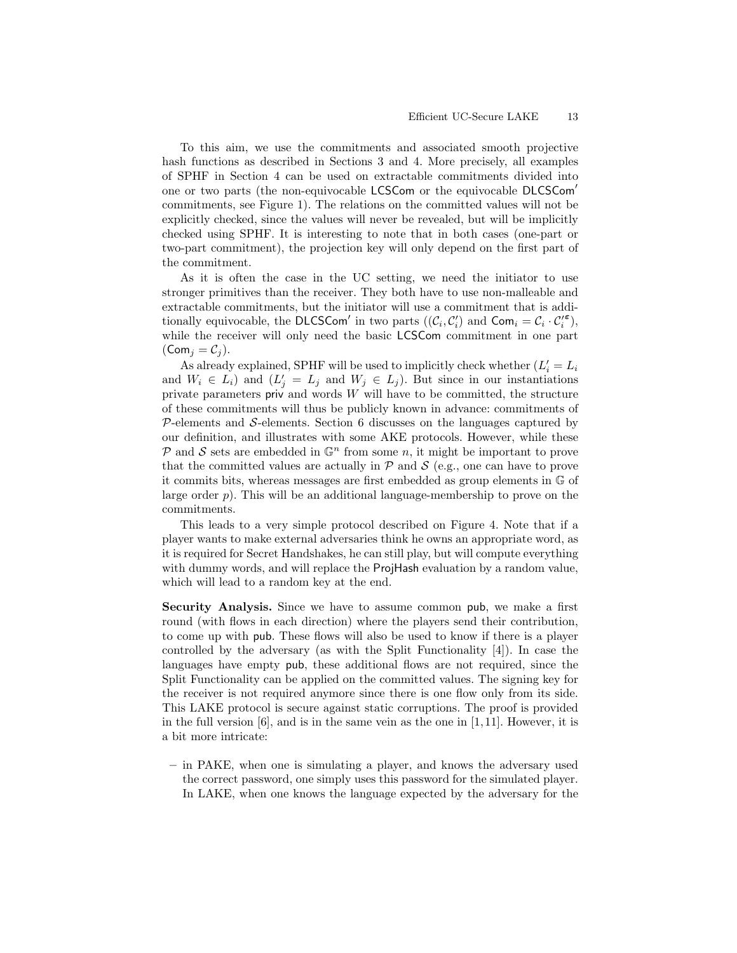To this aim, we use the commitments and associated smooth projective hash functions as described in Sections 3 and 4. More precisely, all examples of SPHF in Section 4 can be used on extractable commitments divided into one or two parts (the non-equivocable LCSCom or the equivocable DLCSCom' commitments, see Figure 1). The relations on the committed values will not be explicitly checked, since the values will never be revealed, but will be implicitly checked using SPHF. It is interesting to note that in both cases (one-part or two-part commitment), the projection key will only depend on the first part of the commitment.

As it is often the case in the UC setting, we need the initiator to use stronger primitives than the receiver. They both have to use non-malleable and extractable commitments, but the initiator will use a commitment that is additionally equivocable, the DLCSCom' in two parts  $((\mathcal{C}_i, \mathcal{C}'_i)$  and  $Com_i = \mathcal{C}_i \cdot \mathcal{C}'_i^{\epsilon}$ ), while the receiver will only need the basic LCSCom commitment in one part  $(Com<sub>j</sub> = C<sub>j</sub>).$ 

As already explained, SPHF will be used to implicitly check whether  $(L_i' = L_i)$ and  $W_i \in L_i$  and  $(L'_j = L_j$  and  $W_j \in L_j$ ). But since in our instantiations private parameters priv and words  $W$  will have to be committed, the structure of these commitments will thus be publicly known in advance: commitments of  $P$ -elements and  $S$ -elements. Section 6 discusses on the languages captured by our definition, and illustrates with some AKE protocols. However, while these  $\mathcal P$  and  $\mathcal S$  sets are embedded in  $\mathbb G^n$  from some n, it might be important to prove that the committed values are actually in  $\mathcal P$  and  $\mathcal S$  (e.g., one can have to prove it commits bits, whereas messages are first embedded as group elements in G of large order  $p$ ). This will be an additional language-membership to prove on the commitments.

This leads to a very simple protocol described on Figure 4. Note that if a player wants to make external adversaries think he owns an appropriate word, as it is required for Secret Handshakes, he can still play, but will compute everything with dummy words, and will replace the ProjHash evaluation by a random value, which will lead to a random key at the end.

Security Analysis. Since we have to assume common pub, we make a first round (with flows in each direction) where the players send their contribution, to come up with pub. These flows will also be used to know if there is a player controlled by the adversary (as with the Split Functionality [4]). In case the languages have empty pub, these additional flows are not required, since the Split Functionality can be applied on the committed values. The signing key for the receiver is not required anymore since there is one flow only from its side. This LAKE protocol is secure against static corruptions. The proof is provided in the full version  $[6]$ , and is in the same vein as the one in  $[1, 11]$ . However, it is a bit more intricate:

– in PAKE, when one is simulating a player, and knows the adversary used the correct password, one simply uses this password for the simulated player. In LAKE, when one knows the language expected by the adversary for the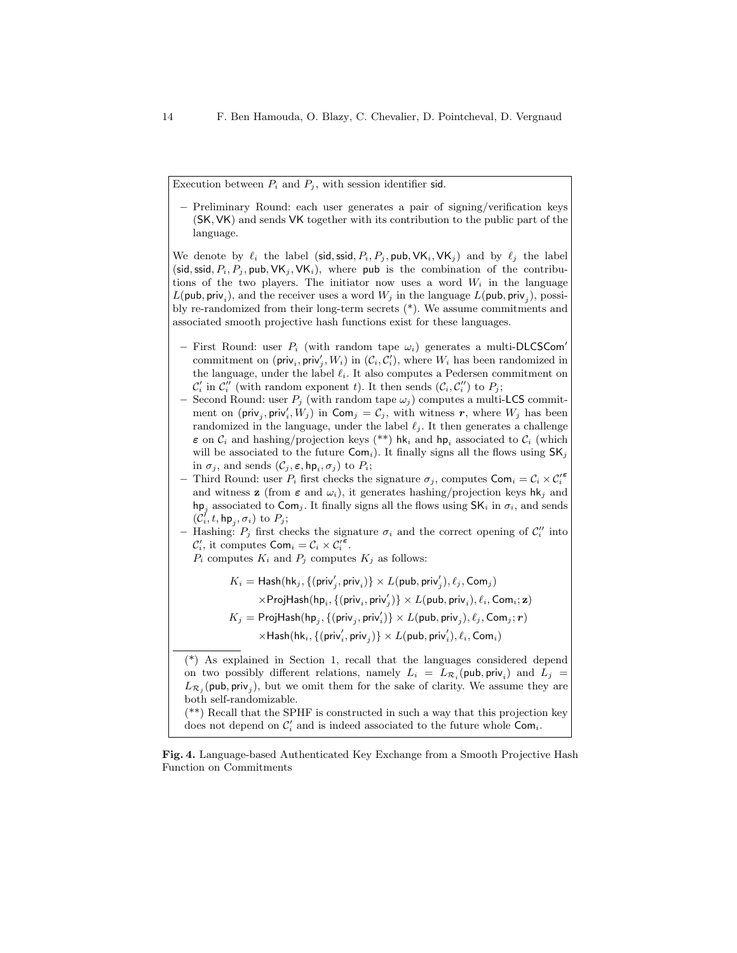Execution between  $P_i$  and  $P_j$ , with session identifier sid.

– Preliminary Round: each user generates a pair of signing/verification keys (SK, VK) and sends VK together with its contribution to the public part of the language.

We denote by  $\ell_i$  the label (sid, ssid,  $P_i, P_j$ , pub,  $\forall K_i, \forall K_j$ ) and by  $\ell_j$  the label (sid, ssid,  $P_i$ ,  $P_j$ , pub,  $VK_j$ ,  $VK_i$ ), where pub is the combination of the contributions of the two players. The initiator now uses a word  $W_i$  in the language  $L(\mathsf{pub}, \mathsf{priv}_i)$ , and the receiver uses a word  $W_j$  in the language  $L(\mathsf{pub}, \mathsf{priv}_j)$ , possibly re-randomized from their long-term secrets (\*). We assume commitments and associated smooth projective hash functions exist for these languages.

- First Round: user  $P_i$  (with random tape  $\omega_i$ ) generates a multi-DLCSCom' commitment on ( $\textsf{priv}_i, \textsf{priv}'_j, W_i$ ) in  $(\mathcal{C}_i, \mathcal{C}'_i)$ , where  $W_i$  has been randomized in the language, under the label  $\ell_i$ . It also computes a Pedersen commitment on  $\mathcal{C}'_i$  in  $\mathcal{C}''_i$  (with random exponent t). It then sends  $(\mathcal{C}_i, \mathcal{C}''_i)$  to  $P_j$ ;
- Second Round: user  $P_j$  (with random tape  $\omega_j$ ) computes a multi-LCS commitment on (priv<sub>j</sub>, priv'<sub>i</sub>,  $W_j$ ) in  $\mathsf{Com}_j = \mathcal{C}_j$ , with witness r, where  $W_j$  has been randomized in the language, under the label  $\ell_j$ . It then generates a challenge  $\varepsilon$  on  $C_i$  and hashing/projection keys (\*\*) hk<sub>i</sub> and hp<sub>i</sub> associated to  $C_i$  (which will be associated to the future  $Com_i$ ). It finally signs all the flows using  $SK_i$ in  $\sigma_j$ , and sends  $(\mathcal{C}_j, \varepsilon, \mathsf{hp}_i, \sigma_j)$  to  $P_i$ ;
- Third Round: user  $P_i$  first checks the signature  $\sigma_j$ , computes  $\textsf{Com}_i = \mathcal{C}_i \times \mathcal{C}_i'^{\epsilon}$ and witness **z** (from  $\varepsilon$  and  $\omega_i$ ), it generates hashing/projection keys hk<sub>j</sub> and hp<sub>i</sub> associated to Com<sub>j</sub>. It finally signs all the flows using  $SK_i$  in  $\sigma_i$ , and sends  $(\mathcal{C}_i^{\prime}, t, \mathsf{hp}_j, \sigma_i)$  to  $P_j$ ;
- Hashing:  $P_j$  first checks the signature  $\sigma_i$  and the correct opening of  $\mathcal{C}_i''$  into  $\mathcal{C}'_i$ , it computes  $\textsf{Com}_i = \mathcal{C}_i \times \mathcal{C}'_i^{\overline{\epsilon}}$ .
	- $P_i$  computes  $K_i$  and  $P_j$  computes  $K_j$  as follows:

 $K_i = \mathsf{Hash}(\mathsf{hk}_j, \{(\mathsf{priv}'_j, \mathsf{priv}_i)\} \times L(\mathsf{pub}, \mathsf{priv}'_j), \ell_j, \mathsf{Com}_j)$  $\times \mathsf{ProjHash}(\mathsf{hp}_i, \{(\mathsf{priv}_i, \mathsf{priv}_j')\} \times L(\mathsf{pub}, \mathsf{priv}_i), \ell_i, \mathsf{Com}_i; \mathbf{z})$ 

- $K_j = \mathsf{ProjHash}(\mathsf{hp}_j, \{(\mathsf{priv}_j, \mathsf{priv}_i')\} \times L(\mathsf{pub}, \mathsf{priv}_j), \ell_j, \mathsf{Com}_j; \bm{r})$ 
	- $\times$ Hash $(\mathsf{hk}_i, \{(\mathsf{priv}'_i, \mathsf{priv}_j)\} \times L(\mathsf{pub}, \mathsf{priv}'_i), \ell_i, \mathsf{Com}_i)$

(\*) As explained in Section 1, recall that the languages considered depend on two possibly different relations, namely  $L_i = L_{\mathcal{R}_i}(\text{pub}, \text{priv}_i)$  and  $L_j =$  $L_{\mathcal{R}_j}(\text{pub}, \text{priv}_j)$ , but we omit them for the sake of clarity. We assume they are both self-randomizable.

(\*\*) Recall that the SPHF is constructed in such a way that this projection key does not depend on  $\mathcal{C}'_i$  and is indeed associated to the future whole  $\mathsf{Com}_i$ .

Fig. 4. Language-based Authenticated Key Exchange from a Smooth Projective Hash Function on Commitments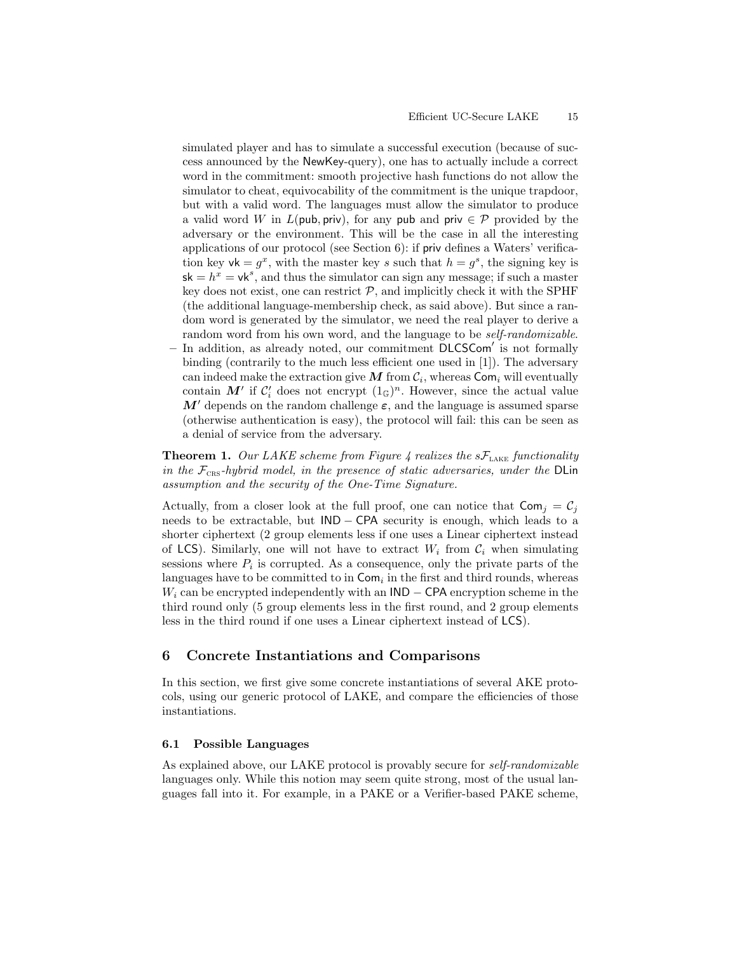simulated player and has to simulate a successful execution (because of success announced by the NewKey-query), one has to actually include a correct word in the commitment: smooth projective hash functions do not allow the simulator to cheat, equivocability of the commitment is the unique trapdoor, but with a valid word. The languages must allow the simulator to produce a valid word W in  $L(\text{pub}, \text{priv})$ , for any pub and priv  $\in \mathcal{P}$  provided by the adversary or the environment. This will be the case in all the interesting applications of our protocol (see Section 6): if priv defines a Waters' verification key  $\mathsf{vk} = g^x$ , with the master key s such that  $h = g^s$ , the signing key is  $sk = h^x = vk^s$ , and thus the simulator can sign any message; if such a master key does not exist, one can restrict  $P$ , and implicitly check it with the SPHF (the additional language-membership check, as said above). But since a random word is generated by the simulator, we need the real player to derive a random word from his own word, and the language to be *self-randomizable*.

 $-$  In addition, as already noted, our commitment  $\overline{D}$ LCSCom' is not formally binding (contrarily to the much less efficient one used in [1]). The adversary can indeed make the extraction give  $M$  from  $\mathcal{C}_i$ , whereas  $\mathsf{Com}_i$  will eventually contain  $M'$  if  $C_i'$  does not encrypt  $(1\text{\ensuremath{\mathbb{G}}})^n$ . However, since the actual value M' depends on the random challenge  $\varepsilon$ , and the language is assumed sparse (otherwise authentication is easy), the protocol will fail: this can be seen as a denial of service from the adversary.

**Theorem 1.** Our LAKE scheme from Figure 4 realizes the  $sF_{\text{LAKE}}$  functionality in the  $\mathcal{F}_{CRS}$ -hybrid model, in the presence of static adversaries, under the DLin assumption and the security of the One-Time Signature.

Actually, from a closer look at the full proof, one can notice that  $\textsf{Com}_i = C_i$ needs to be extractable, but IND − CPA security is enough, which leads to a shorter ciphertext (2 group elements less if one uses a Linear ciphertext instead of LCS). Similarly, one will not have to extract  $W_i$  from  $C_i$  when simulating sessions where  $P_i$  is corrupted. As a consequence, only the private parts of the languages have to be committed to in  $Com<sub>i</sub>$  in the first and third rounds, whereas  $W_i$  can be encrypted independently with an  $\mathsf{IND} - \mathsf{CPA}$  encryption scheme in the third round only (5 group elements less in the first round, and 2 group elements less in the third round if one uses a Linear ciphertext instead of LCS).

### 6 Concrete Instantiations and Comparisons

In this section, we first give some concrete instantiations of several AKE protocols, using our generic protocol of LAKE, and compare the efficiencies of those instantiations.

### 6.1 Possible Languages

As explained above, our LAKE protocol is provably secure for self-randomizable languages only. While this notion may seem quite strong, most of the usual languages fall into it. For example, in a PAKE or a Verifier-based PAKE scheme,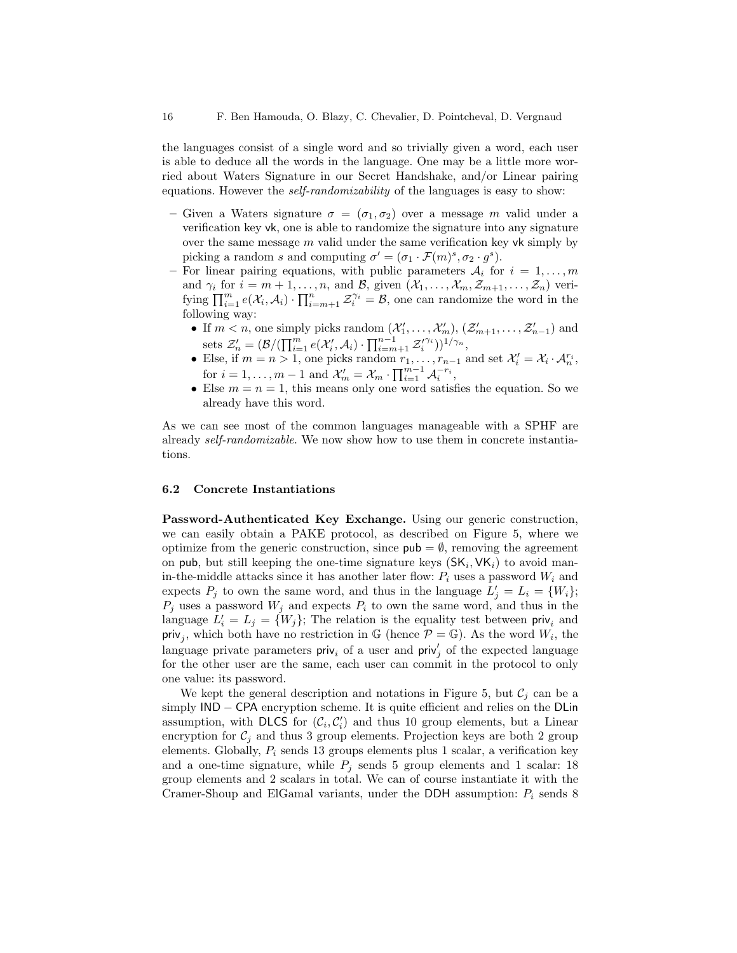the languages consist of a single word and so trivially given a word, each user is able to deduce all the words in the language. One may be a little more worried about Waters Signature in our Secret Handshake, and/or Linear pairing equations. However the *self-randomizability* of the languages is easy to show:

- Given a Waters signature  $\sigma = (\sigma_1, \sigma_2)$  over a message m valid under a verification key vk, one is able to randomize the signature into any signature over the same message  $m$  valid under the same verification key vk simply by picking a random s and computing  $\sigma' = (\sigma_1 \cdot \mathcal{F}(m)^s, \sigma_2 \cdot g^s)$ .
- For linear pairing equations, with public parameters  $A_i$  for  $i = 1, \ldots, m$ and  $\gamma_i$  for  $i = m + 1, \ldots, n$ , and  $\mathcal{B}$ , given  $(\mathcal{X}_1, \ldots, \mathcal{X}_m, \mathcal{Z}_{m+1}, \ldots, \mathcal{Z}_n)$  verifying  $\prod_{i=1}^m e(\mathcal{X}_i, \mathcal{A}_i) \cdot \prod_{i=m+1}^n \mathcal{Z}_i^{\gamma_i} = \mathcal{B}$ , one can randomize the word in the following way:
	- If  $m < n$ , one simply picks random  $(\mathcal{X}'_1, \ldots, \mathcal{X}'_m)$ ,  $(\mathcal{Z}'_{m+1}, \ldots, \mathcal{Z}'_{n-1})$  and sets  $\mathcal{Z}'_n = (\mathcal{B}/(\prod_{i=1}^m e(\mathcal{X}'_i, \mathcal{A}_i) \cdot \prod_{i=m+1}^{n-1} \mathcal{Z}'_i^{\gamma_i}))^{1/\gamma_n},$
	- Else, if  $m = n > 1$ , one picks random  $r_1, \ldots, r_{n-1}$  and set  $\mathcal{X}'_i = \mathcal{X}_i \cdot \mathcal{A}_n^{r_i}$ , for  $i = 1, \ldots, m - 1$  and  $\mathcal{X}'_m = \mathcal{X}_m \cdot \prod_{i=1}^{m-1} \mathcal{A}_i^{-r_i}$ ,
	- Else  $m = n = 1$ , this means only one word satisfies the equation. So we already have this word.

As we can see most of the common languages manageable with a SPHF are already self-randomizable. We now show how to use them in concrete instantiations.

### 6.2 Concrete Instantiations

Password-Authenticated Key Exchange. Using our generic construction, we can easily obtain a PAKE protocol, as described on Figure 5, where we optimize from the generic construction, since  $pub = \emptyset$ , removing the agreement on pub, but still keeping the one-time signature keys  $(SK_i, VK_i)$  to avoid manin-the-middle attacks since it has another later flow:  $P_i$  uses a password  $W_i$  and expects  $P_j$  to own the same word, and thus in the language  $L'_j = L_i = \{W_i\};$  $P_j$  uses a password  $W_j$  and expects  $P_i$  to own the same word, and thus in the language  $L'_i = L_j = \{W_j\}$ ; The relation is the equality test between  $\text{priv}_i$  and priv<sub>j</sub>, which both have no restriction in  $\mathbb{G}$  (hence  $\mathcal{P} = \mathbb{G}$ ). As the word  $W_i$ , the language private parameters  $\text{priv}_{i}$  of a user and  $\text{priv}_{j}$  of the expected language for the other user are the same, each user can commit in the protocol to only one value: its password.

We kept the general description and notations in Figure 5, but  $\mathcal{C}_i$  can be a simply IND – CPA encryption scheme. It is quite efficient and relies on the DLin assumption, with DLCS for  $(C_i, C'_i)$  and thus 10 group elements, but a Linear encryption for  $C_j$  and thus 3 group elements. Projection keys are both 2 group elements. Globally,  $P_i$  sends 13 groups elements plus 1 scalar, a verification key and a one-time signature, while  $P_i$  sends 5 group elements and 1 scalar: 18 group elements and 2 scalars in total. We can of course instantiate it with the Cramer-Shoup and ElGamal variants, under the DDH assumption:  $P_i$  sends 8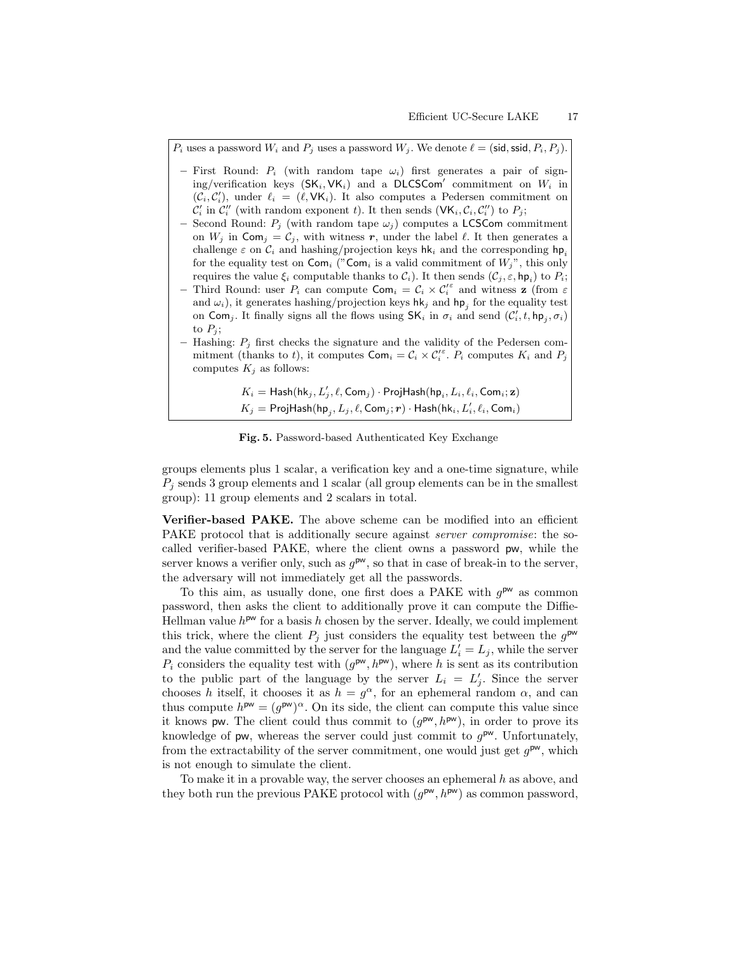$P_i$  uses a password  $W_i$  and  $P_j$  uses a password  $W_j$ . We denote  $\ell = (\text{sid}, \text{ssid}, P_i, P_j)$ .

- First Round:  $P_i$  (with random tape  $\omega_i$ ) first generates a pair of signing/verification keys  $(SK_i, VK_i)$  and a DLCSCom' commitment on  $W_i$  in  $(\mathcal{C}_i, \mathcal{C}'_i)$ , under  $\ell_i = (\ell, \mathsf{VK}_i)$ . It also computes a Pedersen commitment on  $\mathcal{C}'_i$  in  $\mathcal{C}''_i$  (with random exponent t). It then sends (VK<sub>i</sub>,  $\mathcal{C}_i$ ,  $\mathcal{C}''_i$ ) to  $P_j$ ;
- Second Round:  $P_j$  (with random tape  $\omega_j$ ) computes a LCSCom commitment on  $W_j$  in  $\textsf{Com}_j = C_j$ , with witness r, under the label  $\ell$ . It then generates a challenge  $\varepsilon$  on  $C_i$  and hashing/projection keys hk<sub>i</sub> and the corresponding hp<sub>i</sub> for the equality test on  $\textsf{Com}_i$  (" $\textsf{Com}_i$  is a valid commitment of  $W_j$ ", this only requires the value  $\xi_i$  computable thanks to  $\mathcal{C}_i$ ). It then sends  $(\mathcal{C}_j, \varepsilon, \mathsf{hp}_i)$  to  $P_i$ ;
- Third Round: user  $P_i$  can compute  $\textsf{Com}_i = C_i \times C_i^{\varepsilon}$  and witness **z** (from  $\varepsilon$ and  $\omega_i$ ), it generates hashing/projection keys hk<sub>j</sub> and hp<sub>j</sub> for the equality test on Com<sub>j</sub>. It finally signs all the flows using  $SK_i$  in  $\sigma_i$  and send  $(\mathcal{C}'_i, t, \text{hp}_j, \sigma_i)$ to  $P_i$ ;
- Hashing:  $P_i$  first checks the signature and the validity of the Pedersen commitment (thanks to t), it computes  $\textsf{Com}_i = \mathcal{C}_i \times \mathcal{C}'_i$ .  $P_i$  computes  $K_i$  and  $P_j$ computes  $K_i$  as follows:

 $K_i = \mathsf{Hash}(\mathsf{hk}_j, L'_j, \ell, \mathsf{Com}_j) \cdot \mathsf{ProjHash}(\mathsf{hp}_i, L_i, \ell_i, \mathsf{Com}_i; \mathbf{z})$  $K_j = \mathsf{ProjHash}(\mathsf{hp}_j, L_j, \ell, \mathsf{Com}_j; \bm{r}) \cdot \mathsf{Hash}(\mathsf{hk}_i, L'_i, \ell_i, \mathsf{Com}_i)$ 

Fig. 5. Password-based Authenticated Key Exchange

groups elements plus 1 scalar, a verification key and a one-time signature, while  $P_i$  sends 3 group elements and 1 scalar (all group elements can be in the smallest group): 11 group elements and 2 scalars in total.

Verifier-based PAKE. The above scheme can be modified into an efficient PAKE protocol that is additionally secure against *server compromise*: the socalled verifier-based PAKE, where the client owns a password pw, while the server knows a verifier only, such as  $g^{\text{pw}}$ , so that in case of break-in to the server, the adversary will not immediately get all the passwords.

To this aim, as usually done, one first does a PAKE with  $g^{\mathsf{pw}}$  as common password, then asks the client to additionally prove it can compute the Diffie-Hellman value  $h^{pw}$  for a basis h chosen by the server. Ideally, we could implement this trick, where the client  $P_j$  just considers the equality test between the  $g^{\text{pw}}$ and the value committed by the server for the language  $L'_i = L_j$ , while the server  $P_i$  considers the equality test with  $(g^{pw}, h^{pw})$ , where h is sent as its contribution to the public part of the language by the server  $L_i = L'_j$ . Since the server chooses h itself, it chooses it as  $h = g^{\alpha}$ , for an ephemeral random  $\alpha$ , and can thus compute  $h^{pw} = (g^{pw})^{\alpha}$ . On its side, the client can compute this value since it knows pw. The client could thus commit to  $(g^{pw}, h^{pw})$ , in order to prove its knowledge of pw, whereas the server could just commit to  $g^{\mathsf{pw}}$ . Unfortunately, from the extractability of the server commitment, one would just get  $g^{pw}$ , which is not enough to simulate the client.

To make it in a provable way, the server chooses an ephemeral  $h$  as above, and they both run the previous PAKE protocol with  $(g^{pw}, h^{pw})$  as common password,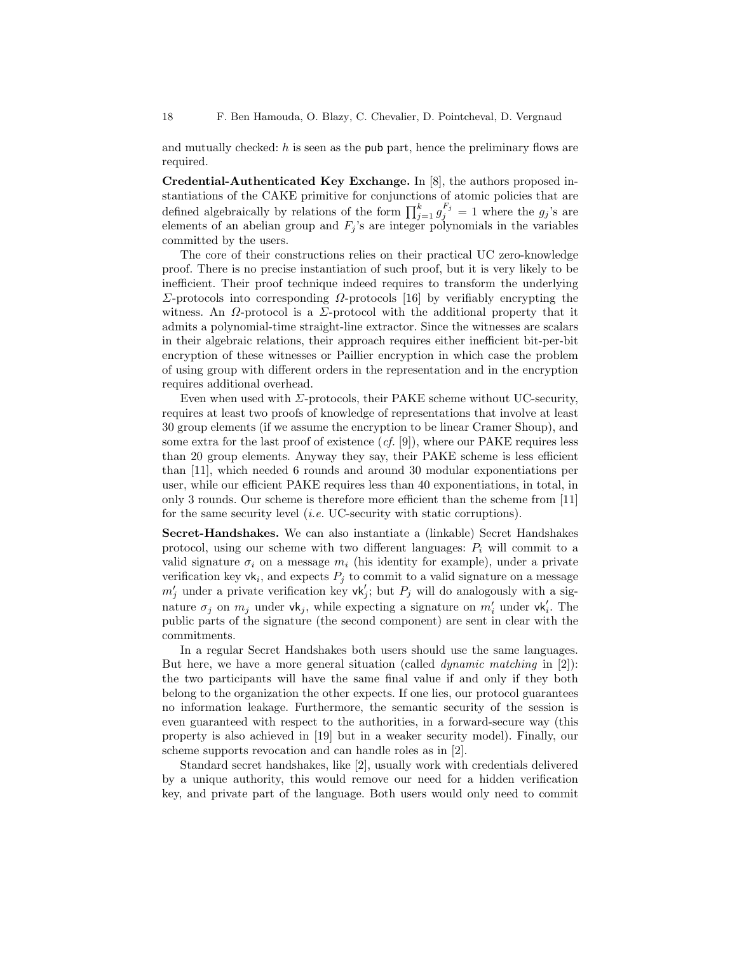and mutually checked:  $h$  is seen as the pub part, hence the preliminary flows are required.

Credential-Authenticated Key Exchange. In [8], the authors proposed instantiations of the CAKE primitive for conjunctions of atomic policies that are defined algebraically by relations of the form  $\prod_{j=1}^{k} g_j^{F_j} = 1$  where the  $g_j$ 's are elements of an abelian group and  $F_j$ 's are integer polynomials in the variables committed by the users.

The core of their constructions relies on their practical UC zero-knowledge proof. There is no precise instantiation of such proof, but it is very likely to be inefficient. Their proof technique indeed requires to transform the underlying Σ-protocols into corresponding  $Ω$ -protocols [16] by verifiably encrypting the witness. An  $\Omega$ -protocol is a  $\Sigma$ -protocol with the additional property that it admits a polynomial-time straight-line extractor. Since the witnesses are scalars in their algebraic relations, their approach requires either inefficient bit-per-bit encryption of these witnesses or Paillier encryption in which case the problem of using group with different orders in the representation and in the encryption requires additional overhead.

Even when used with  $\Sigma$ -protocols, their PAKE scheme without UC-security, requires at least two proofs of knowledge of representations that involve at least 30 group elements (if we assume the encryption to be linear Cramer Shoup), and some extra for the last proof of existence  $(cf. [9])$ , where our PAKE requires less than 20 group elements. Anyway they say, their PAKE scheme is less efficient than [11], which needed 6 rounds and around 30 modular exponentiations per user, while our efficient PAKE requires less than 40 exponentiations, in total, in only 3 rounds. Our scheme is therefore more efficient than the scheme from [11] for the same security level (i.e. UC-security with static corruptions).

Secret-Handshakes. We can also instantiate a (linkable) Secret Handshakes protocol, using our scheme with two different languages:  $P_i$  will commit to a valid signature  $\sigma_i$  on a message  $m_i$  (his identity for example), under a private verification key  $\mathsf{vk}_i$ , and expects  $P_j$  to commit to a valid signature on a message  $m'_j$  under a private verification key  $\mathsf{vk}'_j$ ; but  $P_j$  will do analogously with a signature  $\sigma_j$  on  $m_j$  under vk<sub>j</sub>, while expecting a signature on  $m'_i$  under vk<sub>i</sub>. The public parts of the signature (the second component) are sent in clear with the commitments.

In a regular Secret Handshakes both users should use the same languages. But here, we have a more general situation (called *dynamic matching* in  $[2]$ ): the two participants will have the same final value if and only if they both belong to the organization the other expects. If one lies, our protocol guarantees no information leakage. Furthermore, the semantic security of the session is even guaranteed with respect to the authorities, in a forward-secure way (this property is also achieved in [19] but in a weaker security model). Finally, our scheme supports revocation and can handle roles as in [2].

Standard secret handshakes, like [2], usually work with credentials delivered by a unique authority, this would remove our need for a hidden verification key, and private part of the language. Both users would only need to commit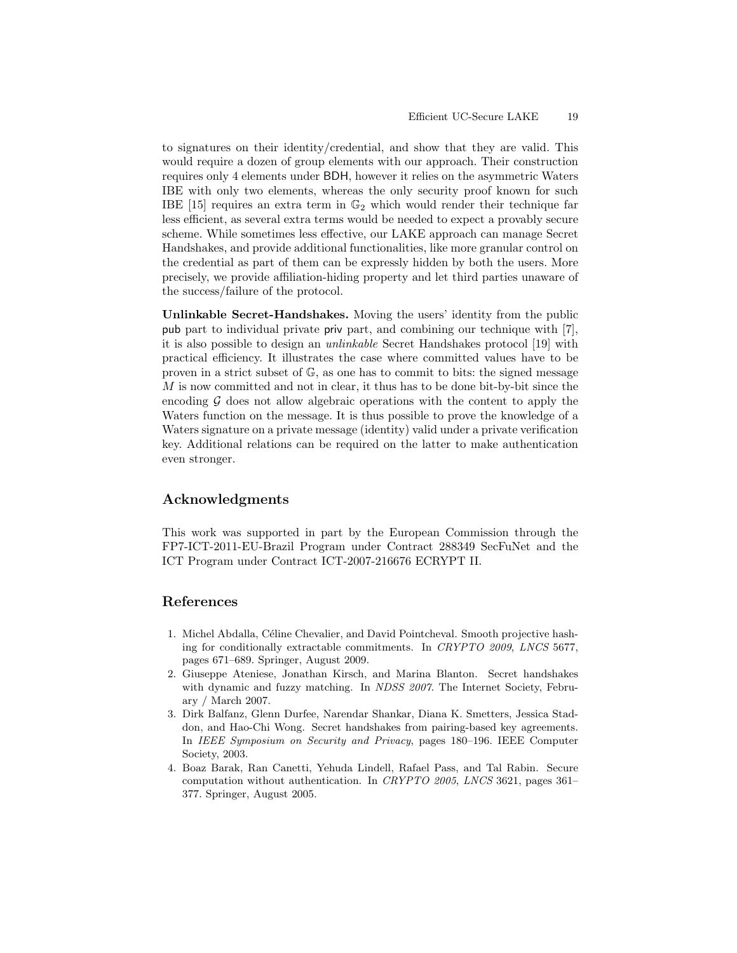to signatures on their identity/credential, and show that they are valid. This would require a dozen of group elements with our approach. Their construction requires only 4 elements under BDH, however it relies on the asymmetric Waters IBE with only two elements, whereas the only security proof known for such IBE [15] requires an extra term in  $\mathbb{G}_2$  which would render their technique far less efficient, as several extra terms would be needed to expect a provably secure scheme. While sometimes less effective, our LAKE approach can manage Secret Handshakes, and provide additional functionalities, like more granular control on the credential as part of them can be expressly hidden by both the users. More precisely, we provide affiliation-hiding property and let third parties unaware of the success/failure of the protocol.

Unlinkable Secret-Handshakes. Moving the users' identity from the public pub part to individual private priv part, and combining our technique with [7], it is also possible to design an unlinkable Secret Handshakes protocol [19] with practical efficiency. It illustrates the case where committed values have to be proven in a strict subset of G, as one has to commit to bits: the signed message M is now committed and not in clear, it thus has to be done bit-by-bit since the encoding  $G$  does not allow algebraic operations with the content to apply the Waters function on the message. It is thus possible to prove the knowledge of a Waters signature on a private message (identity) valid under a private verification key. Additional relations can be required on the latter to make authentication even stronger.

# Acknowledgments

This work was supported in part by the European Commission through the FP7-ICT-2011-EU-Brazil Program under Contract 288349 SecFuNet and the ICT Program under Contract ICT-2007-216676 ECRYPT II.

# References

- 1. Michel Abdalla, Céline Chevalier, and David Pointcheval. Smooth projective hashing for conditionally extractable commitments. In CRYPTO 2009, LNCS 5677, pages 671–689. Springer, August 2009.
- 2. Giuseppe Ateniese, Jonathan Kirsch, and Marina Blanton. Secret handshakes with dynamic and fuzzy matching. In NDSS 2007. The Internet Society, February / March 2007.
- 3. Dirk Balfanz, Glenn Durfee, Narendar Shankar, Diana K. Smetters, Jessica Staddon, and Hao-Chi Wong. Secret handshakes from pairing-based key agreements. In IEEE Symposium on Security and Privacy, pages 180–196. IEEE Computer Society, 2003.
- 4. Boaz Barak, Ran Canetti, Yehuda Lindell, Rafael Pass, and Tal Rabin. Secure computation without authentication. In CRYPTO 2005, LNCS 3621, pages 361– 377. Springer, August 2005.